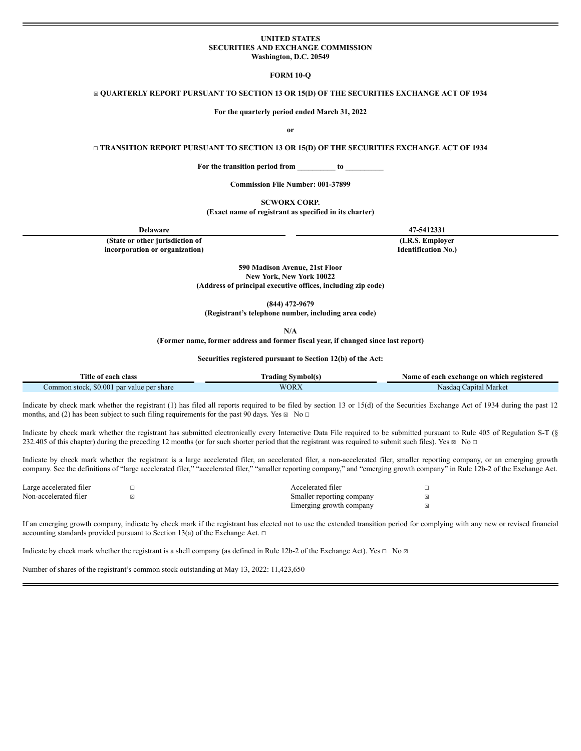## **UNITED STATES SECURITIES AND EXCHANGE COMMISSION Washington, D.C. 20549**

### **FORM 10-Q**

# ☒ **QUARTERLY REPORT PURSUANT TO SECTION 13 OR 15(D) OF THE SECURITIES EXCHANGE ACT OF 1934**

**For the quarterly period ended March 31, 2022**

**or**

# ☐ **TRANSITION REPORT PURSUANT TO SECTION 13 OR 15(D) OF THE SECURITIES EXCHANGE ACT OF 1934**

**For the transition period from \_\_\_\_\_\_\_\_\_\_ to \_\_\_\_\_\_\_\_\_\_**

**Commission File Number: 001-37899**

**SCWORX CORP.**

**(Exact name of registrant as specified in its charter)**

**Delaware 47-5412331 (State or other jurisdiction of**

**incorporation or organization)**

**(I.R.S. Employer Identification No.)**

**590 Madison Avenue, 21st Floor New York, New York 10022 (Address of principal executive offices, including zip code)**

**(844) 472-9679**

**(Registrant's telephone number, including area code)**

**N/A**

**(Former name, former address and former fiscal year, if changed since last report)**

**Securities registered pursuant to Section 12(b) of the Act:**

| Litle                                               | $\cdots$    |                                         |
|-----------------------------------------------------|-------------|-----------------------------------------|
| ∣ Class                                             | Symbol(s)   |                                         |
| of each                                             | rading]     |                                         |
| \$0,001<br>. par value per share<br>Common stock. I | <b>WORX</b> | Marke <sup>*</sup><br>Nasdaq<br>∠apıtal |

Indicate by check mark whether the registrant (1) has filed all reports required to be filed by section 13 or 15(d) of the Securities Exchange Act of 1934 during the past 12 months, and (2) has been subject to such filing requirements for the past 90 days. Yes  $\boxtimes$  No  $\Box$ 

Indicate by check mark whether the registrant has submitted electronically every Interactive Data File required to be submitted pursuant to Rule 405 of Regulation S-T (§ 232.405 of this chapter) during the preceding 12 months (or for such shorter period that the registrant was required to submit such files). Yes  $\boxtimes$  No  $\Box$ 

Indicate by check mark whether the registrant is a large accelerated filer, an accelerated filer, a non-accelerated filer, smaller reporting company, or an emerging growth company. See the definitions of "large accelerated filer," "accelerated filer," "smaller reporting company," and "emerging growth company" in Rule 12b-2 of the Exchange Act.

| Large accelerated filer |   | Accelerated filer         |   |
|-------------------------|---|---------------------------|---|
| Non-accelerated filer   | ⊠ | Smaller reporting company | 冈 |
|                         |   | Emerging growth company   | 冈 |

If an emerging growth company, indicate by check mark if the registrant has elected not to use the extended transition period for complying with any new or revised financial accounting standards provided pursuant to Section 13(a) of the Exchange Act.  $□$ 

Indicate by check mark whether the registrant is a shell company (as defined in Rule 12b-2 of the Exchange Act). Yes  $\Box$  No  $\Box$ 

Number of shares of the registrant's common stock outstanding at May 13, 2022: 11,423,650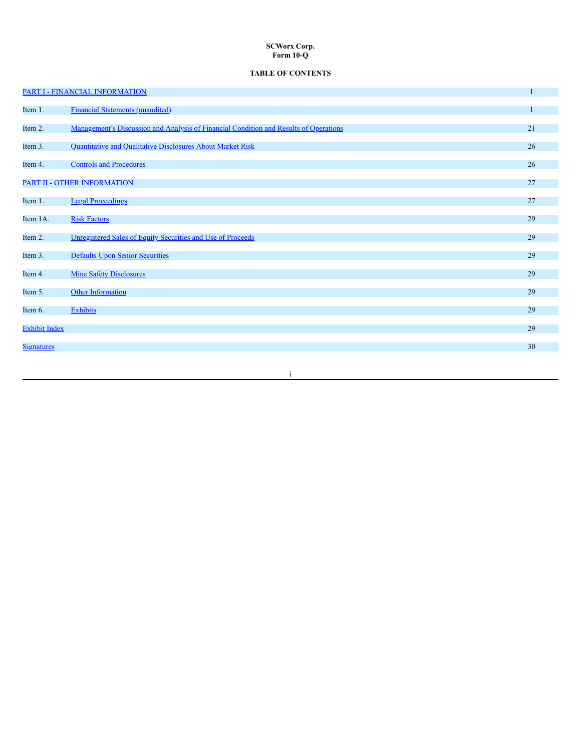### **SCWorx Corp. Form 10-Q**

# **TABLE OF CONTENTS**

|                      | PART I - FINANCIAL INFORMATION                                                        | 1  |
|----------------------|---------------------------------------------------------------------------------------|----|
| Item 1.              | <b>Financial Statements (unaudited)</b>                                               |    |
| Item 2.              | Management's Discussion and Analysis of Financial Condition and Results of Operations | 21 |
| Item 3.              | Quantitative and Qualitative Disclosures About Market Risk                            | 26 |
| Item 4.              | <b>Controls and Procedures</b>                                                        | 26 |
|                      | PART II - OTHER INFORMATION                                                           | 27 |
| Item 1.              | <b>Legal Proceedings</b>                                                              | 27 |
| Item 1A.             | <b>Risk Factors</b>                                                                   | 29 |
| Item 2.              | Unregistered Sales of Equity Securities and Use of Proceeds                           | 29 |
| Item 3.              | Defaults Upon Senior Securities                                                       | 29 |
| Item 4.              | <b>Mine Safety Disclosures</b>                                                        | 29 |
| Item 5.              | Other Information                                                                     | 29 |
| Item 6.              | <b>Exhibits</b>                                                                       | 29 |
| <b>Exhibit Index</b> |                                                                                       | 29 |
| <b>Signatures</b>    |                                                                                       | 30 |
|                      |                                                                                       |    |
|                      | $\mathbf{i}$                                                                          |    |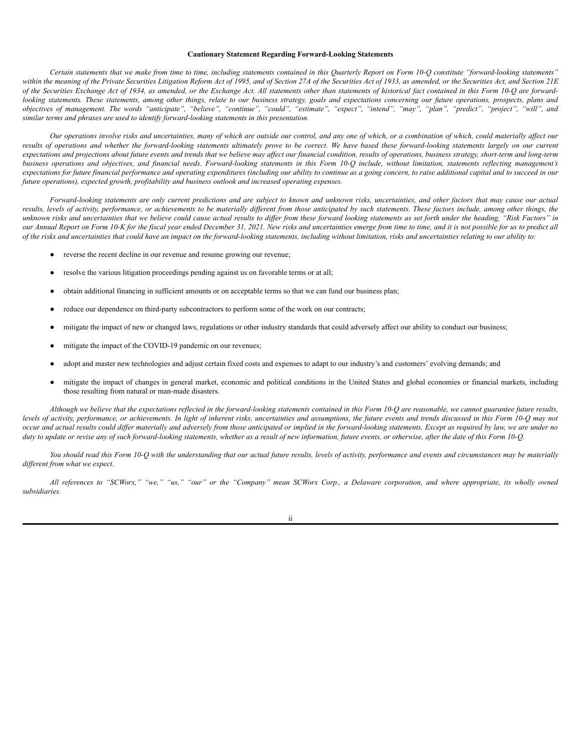#### **Cautionary Statement Regarding Forward-Looking Statements**

Certain statements that we make from time to time, including statements contained in this Quarterly Report on Form 10-Q constitute "forward-looking statements" within the meaning of the Private Securities Litigation Reform Act of 1995, and of Section 27A of the Securities Act of 1933, as amended, or the Securities Act, and Section 21E of the Securities Exchange Act of 1934, as amended, or the Exchange Act. All statements other than statements of historical fact contained in this Form 10-O are forwardlooking statements. These statements, among other things, relate to our business strategy, goals and expectations concerning our future operations, prospects, plans and objectives of management. The words "anticipate", "believe", "continue", "could", "estimate", "expect", "intend", "may", "plan", "predict", "project", "will", and *similar terms and phrases are used to identify forward-looking statements in this presentation.*

Our operations involve risks and uncertainties, many of which are outside our control, and any one of which, or a combination of which, could materially affect our results of operations and whether the forward-looking statements ultimately prove to be correct. We have based these forward-looking statements largely on our current expectations and projections about future events and trends that we believe may affect our financial condition, results of operations, business strategy, short-term and long-term business operations and objectives, and financial needs. Forward-looking statements in this Form 10-O include, without limitation, statements reflecting management's expectations for future financial performance and operating expenditures (including our ability to continue as a going concern, to raise additional capital and to succeed in our *future operations), expected growth, profitability and business outlook and increased operating expenses.*

Forward-looking statements are only current predictions and are subject to known and unknown risks, uncertainties, and other factors that may cause our actual results, levels of activity, performance, or achievements to be materially different from those anticipated by such statements. These factors include, among other things, the unknown risks and uncertainties that we believe could cause actual results to differ from these forward looking statements as set forth under the heading, "Risk Factors" in our Annual Report on Form 10-K for the fiscal year ended December 31, 2021. New risks and uncertainties emerge from time to time, and it is not possible for us to predict all of the risks and uncertainties that could have an impact on the forward-looking statements, including without limitation, risks and uncertainties relating to our ability to:

- reverse the recent decline in our revenue and resume growing our revenue;
- resolve the various litigation proceedings pending against us on favorable terms or at all;
- obtain additional financing in sufficient amounts or on acceptable terms so that we can fund our business plan;
- reduce our dependence on third-party subcontractors to perform some of the work on our contracts;
- mitigate the impact of new or changed laws, regulations or other industry standards that could adversely affect our ability to conduct our business;
- mitigate the impact of the COVID-19 pandemic on our revenues;
- adopt and master new technologies and adjust certain fixed costs and expenses to adapt to our industry's and customers' evolving demands; and
- mitigate the impact of changes in general market, economic and political conditions in the United States and global economies or financial markets, including those resulting from natural or man-made disasters.

Although we believe that the expectations reflected in the forward-looking statements contained in this Form 10-O are reasonable, we cannot guarantee future results, levels of activity, performance, or achievements. In light of inherent risks, uncertainties and assumptions, the future events and trends discussed in this Form 10-O may not occur and actual results could differ materially and adversely from those anticipated or implied in the forward-looking statements. Except as required by law, we are under no duty to update or revise any of such forward-looking statements, whether as a result of new information, future events, or otherwise, after the date of this Form 10-Q.

You should read this Form 10-Q with the understanding that our actual future results, levels of activity, performance and events and circumstances may be materially *dif erent from what we expect.*

All references to "SCWorx," "we," "us," "our" or the "Company" mean SCWorx Corp., a Delaware corporation, and where appropriate, its wholly owned *subsidiaries.*

ii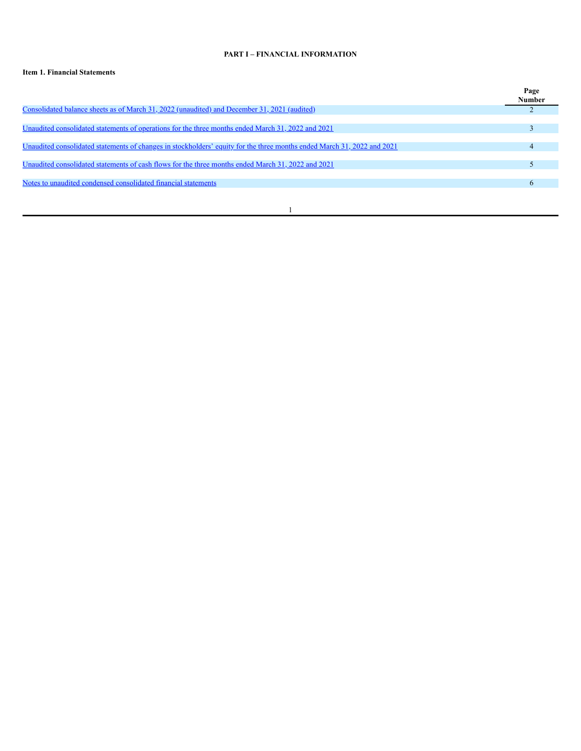# **PART I – FINANCIAL INFORMATION**

# <span id="page-3-1"></span><span id="page-3-0"></span>**Item 1. Financial Statements**

|                                                                                                                         | Page<br><b>Number</b> |
|-------------------------------------------------------------------------------------------------------------------------|-----------------------|
| Consolidated balance sheets as of March 31, 2022 (unaudited) and December 31, 2021 (audited)                            |                       |
| Unaudited consolidated statements of operations for the three months ended March 31, 2022 and 2021                      |                       |
| Unaudited consolidated statements of changes in stockholders' equity for the three months ended March 31, 2022 and 2021 |                       |
| Unaudited consolidated statements of cash flows for the three months ended March 31, 2022 and 2021                      |                       |
| Notes to unaudited condensed consolidated financial statements                                                          |                       |
|                                                                                                                         |                       |
|                                                                                                                         |                       |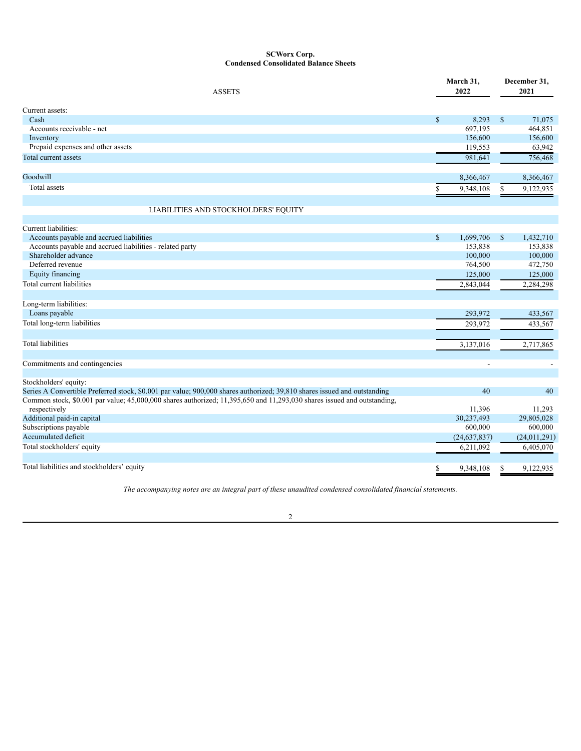# **SCWorx Corp. Condensed Consolidated Balance Sheets**

<span id="page-4-0"></span>

| <b>ASSETS</b>                                                                                                            |    | March 31,<br>2022 |               | December 31,<br>2021 |  |
|--------------------------------------------------------------------------------------------------------------------------|----|-------------------|---------------|----------------------|--|
| Current assets:                                                                                                          |    |                   |               |                      |  |
| Cash                                                                                                                     | \$ | 8,293             | \$            | 71,075               |  |
| Accounts receivable - net                                                                                                |    | 697,195           |               | 464,851              |  |
| Inventory                                                                                                                |    | 156,600           |               | 156,600              |  |
| Prepaid expenses and other assets                                                                                        |    | 119,553           |               | 63,942               |  |
| Total current assets                                                                                                     |    | 981,641           |               | 756,468              |  |
| Goodwill                                                                                                                 |    | 8,366,467         |               | 8,366,467            |  |
| Total assets                                                                                                             | \$ | 9,348,108         | \$            | 9,122,935            |  |
| LIABILITIES AND STOCKHOLDERS' EQUITY                                                                                     |    |                   |               |                      |  |
|                                                                                                                          |    |                   |               |                      |  |
| Current liabilities:                                                                                                     |    |                   |               |                      |  |
| Accounts payable and accrued liabilities                                                                                 | \$ | 1,699,706         | <sup>\$</sup> | 1,432,710            |  |
| Accounts payable and accrued liabilities - related party                                                                 |    | 153,838           |               | 153,838              |  |
| Shareholder advance                                                                                                      |    | 100,000           |               | 100,000              |  |
| Deferred revenue                                                                                                         |    | 764,500           |               | 472,750              |  |
| Equity financing                                                                                                         |    | 125,000           |               | 125,000              |  |
| Total current liabilities                                                                                                |    | 2,843,044         |               | 2,284,298            |  |
| Long-term liabilities:                                                                                                   |    |                   |               |                      |  |
| Loans payable                                                                                                            |    | 293,972           |               | 433,567              |  |
| Total long-term liabilities                                                                                              |    | 293,972           |               | 433,567              |  |
|                                                                                                                          |    |                   |               |                      |  |
| Total liabilities                                                                                                        |    |                   |               |                      |  |
|                                                                                                                          |    | 3,137,016         |               | 2,717,865            |  |
| Commitments and contingencies                                                                                            |    |                   |               |                      |  |
| Stockholders' equity:                                                                                                    |    |                   |               |                      |  |
| Series A Convertible Preferred stock, \$0.001 par value; 900,000 shares authorized; 39,810 shares issued and outstanding |    | 40                |               | 40                   |  |
| Common stock, \$0.001 par value; 45,000,000 shares authorized; 11,395,650 and 11,293,030 shares issued and outstanding,  |    |                   |               |                      |  |
| respectively                                                                                                             |    | 11,396            |               | 11,293               |  |
| Additional paid-in capital                                                                                               |    | 30,237,493        |               | 29,805,028           |  |
| Subscriptions payable                                                                                                    |    | 600,000           |               | 600,000              |  |
| Accumulated deficit                                                                                                      |    | (24, 637, 837)    |               | (24,011,291)         |  |
| Total stockholders' equity                                                                                               |    | 6,211,092         |               | 6,405,070            |  |
| Total liabilities and stockholders' equity                                                                               | \$ | 9,348,108         | \$            | 9,122,935            |  |
|                                                                                                                          |    |                   |               |                      |  |

*The accompanying notes are an integral part of these unaudited condensed consolidated financial statements.*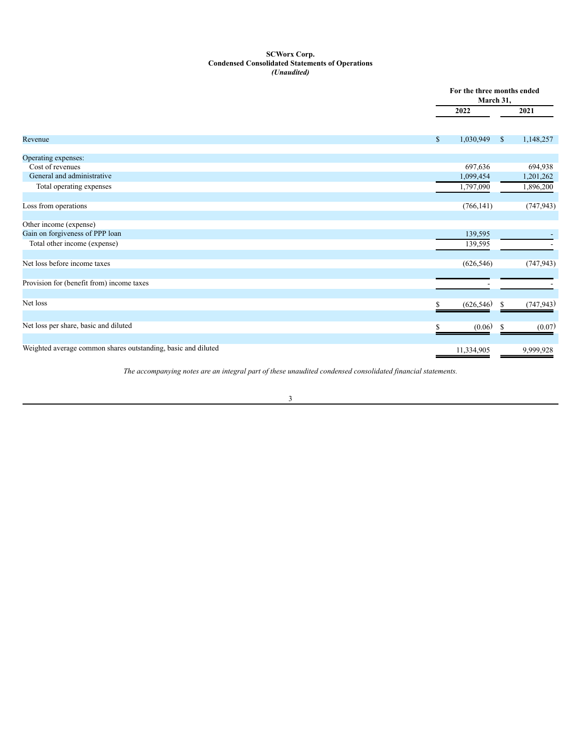## **SCWorx Corp. Condensed Consolidated Statements of Operations** *(Unaudited)*

<span id="page-5-0"></span>

|                                                               |              | For the three months ended<br>March 31, |
|---------------------------------------------------------------|--------------|-----------------------------------------|
|                                                               | 2022         | 2021                                    |
|                                                               |              |                                         |
| Revenue                                                       | $\mathbb{S}$ | 1,030,949<br>$\mathbb{S}$<br>1,148,257  |
| Operating expenses:                                           |              |                                         |
| Cost of revenues                                              |              | 697,636<br>694,938                      |
| General and administrative                                    |              | 1,099,454<br>1,201,262                  |
| Total operating expenses                                      |              | 1,797,090<br>1,896,200                  |
|                                                               |              |                                         |
| Loss from operations                                          |              | (766, 141)<br>(747, 943)                |
|                                                               |              |                                         |
| Other income (expense)                                        |              |                                         |
| Gain on forgiveness of PPP loan                               |              | 139,595                                 |
| Total other income (expense)                                  |              | 139,595                                 |
|                                                               |              |                                         |
| Net loss before income taxes                                  |              | (626, 546)<br>(747, 943)                |
| Provision for (benefit from) income taxes                     |              |                                         |
|                                                               |              |                                         |
| Net loss                                                      | \$           | (626, 546)<br>\$<br>(747, 943)          |
|                                                               |              |                                         |
| Net loss per share, basic and diluted                         | S            | (0.07)<br>(0.06)<br>S                   |
|                                                               |              |                                         |
| Weighted average common shares outstanding, basic and diluted |              | 11,334,905<br>9,999,928                 |
|                                                               |              |                                         |

*The accompanying notes are an integral part of these unaudited condensed consolidated financial statements.*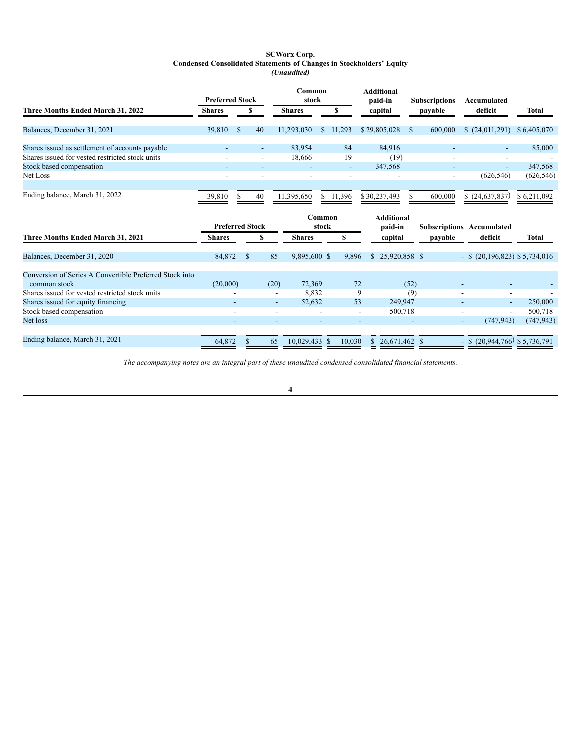## **SCWorx Corp. Condensed Consolidated Statements of Changes in Stockholders' Equity** *(Unaudited)*

<span id="page-6-0"></span>

|                                                                         | <b>Preferred Stock</b> |               |                          | Common<br>stock |       |        |              | <b>Additional</b><br>paid-in  | <b>Subscriptions</b> | Accumulated                                              |              |
|-------------------------------------------------------------------------|------------------------|---------------|--------------------------|-----------------|-------|--------|--------------|-------------------------------|----------------------|----------------------------------------------------------|--------------|
| Three Months Ended March 31, 2022                                       | <b>Shares</b>          | \$            |                          | <b>Shares</b>   |       | \$     |              | capital                       | payable              | deficit                                                  | <b>Total</b> |
| Balances, December 31, 2021                                             | 39,810                 | <sup>\$</sup> | 40                       | 11,293,030      | \$    | 11,293 |              | \$29,805,028<br><sup>\$</sup> | 600,000              | \$(24,011,291)                                           | \$6,405,070  |
| Shares issued as settlement of accounts payable                         |                        |               |                          | 83,954          |       | 84     |              | 84,916                        |                      |                                                          | 85,000       |
| Shares issued for vested restricted stock units                         |                        |               | $\blacksquare$           | 18,666          |       | 19     |              | (19)                          |                      |                                                          |              |
| Stock based compensation                                                |                        |               |                          |                 |       | ٠      |              | 347,568                       |                      | $\blacksquare$                                           | 347,568      |
| Net Loss                                                                |                        |               |                          |                 |       |        |              |                               |                      | (626, 546)                                               | (626, 546)   |
| Ending balance, March 31, 2022                                          | 39,810                 | S             | 40                       | 11,395,650      | S.    | 11,396 |              | \$30,237,493                  | 600,000              | \$(24,637,837)                                           | \$6,211,092  |
|                                                                         | <b>Preferred Stock</b> |               |                          | Common          | stock |        |              | <b>Additional</b><br>paid-in  |                      | <b>Subscriptions Accumulated</b>                         |              |
| Three Months Ended March 31, 2021                                       | <b>Shares</b>          |               | \$                       | <b>Shares</b>   |       | \$     |              | capital                       | payable              | deficit                                                  | <b>Total</b> |
| Balances, December 31, 2020                                             | 84,872                 | <sup>\$</sup> | 85                       | 9,895,600 \$    |       | 9,896  |              | $$25,920,858$ \;              |                      | $-$ \$ (20,196,823) \$ 5,734,016                         |              |
| Conversion of Series A Convertible Preferred Stock into<br>common stock | (20,000)               |               | (20)                     | 72,369          |       | 72     |              | (52)                          |                      |                                                          |              |
| Shares issued for vested restricted stock units                         |                        |               | $\overline{\phantom{a}}$ | 8,832           |       |        | 9            | (9)                           |                      | $\overline{\phantom{a}}$                                 |              |
| Shares issued for equity financing                                      | ٠                      |               | $\blacksquare$           | 52,632          |       | 53     |              | 249,947                       |                      | $\sim$<br>٠                                              | 250,000      |
| Stock based compensation                                                |                        |               |                          |                 |       |        |              | 500,718                       |                      | $\overline{\phantom{a}}$<br>$\qquad \qquad \blacksquare$ | 500,718      |
| Net loss                                                                |                        |               |                          |                 |       |        |              |                               |                      | (747, 943)<br>٠                                          | (747, 943)   |
| Ending balance, March 31, 2021                                          | 64,872                 | $\mathbf S$   | 65                       | 10,029,433 \$   |       | 10,030 | $\mathbb{S}$ | 26,671,462 \$                 |                      | \$ (20,944,766) \$ 5,736,791<br>$\blacksquare$           |              |

*The accompanying notes are an integral part of these unaudited condensed consolidated financial statements.*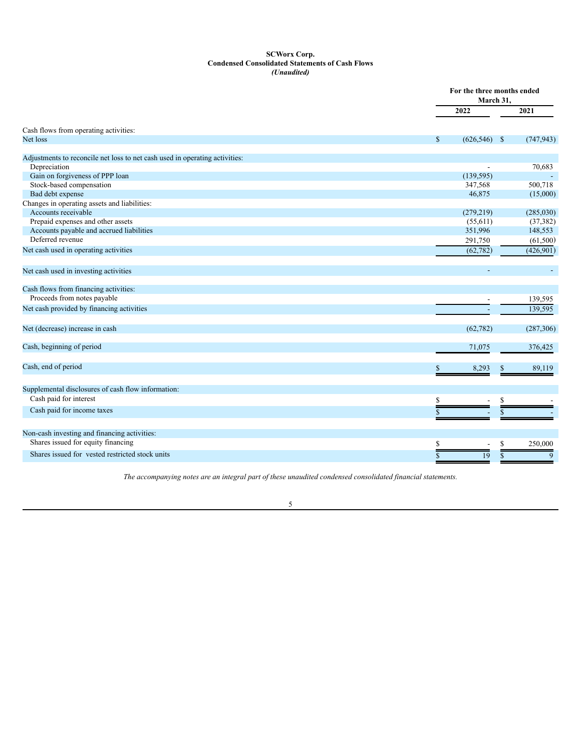### **SCWorx Corp. Condensed Consolidated Statements of Cash Flows** *(Unaudited)*

<span id="page-7-0"></span>

|                                                                                    |                  | For the three months ended<br>March 31, |
|------------------------------------------------------------------------------------|------------------|-----------------------------------------|
|                                                                                    | 2022             | 2021                                    |
| Cash flows from operating activities:                                              |                  |                                         |
| Net loss                                                                           | \$<br>(626, 546) | $\mathcal{S}$<br>(747, 943)             |
| Adjustments to reconcile net loss to net cash used in operating activities:        |                  |                                         |
| Depreciation                                                                       |                  | 70,683                                  |
| Gain on forgiveness of PPP loan                                                    | (139, 595)       |                                         |
| Stock-based compensation                                                           | 347,568          | 500,718                                 |
| Bad debt expense                                                                   | 46,875           | (15,000)                                |
| Changes in operating assets and liabilities:                                       |                  |                                         |
| Accounts receivable                                                                | (279, 219)       | (285,030)                               |
| Prepaid expenses and other assets                                                  | (55, 611)        | (37, 382)                               |
| Accounts payable and accrued liabilities                                           | 351,996          | 148,553                                 |
| Deferred revenue                                                                   | 291,750          | (61,500)                                |
| Net cash used in operating activities                                              | (62, 782)        | (426, 901)                              |
| Net cash used in investing activities                                              |                  |                                         |
| Cash flows from financing activities:                                              |                  |                                         |
| Proceeds from notes payable                                                        |                  | 139,595                                 |
| Net cash provided by financing activities                                          |                  | 139,595                                 |
| Net (decrease) increase in cash                                                    | (62, 782)        | (287, 306)                              |
| Cash, beginning of period                                                          | 71,075           | 376,425                                 |
| Cash, end of period                                                                | 8,293<br>\$      | 89,119<br>\$                            |
|                                                                                    |                  |                                         |
| Supplemental disclosures of cash flow information:                                 |                  |                                         |
| Cash paid for interest                                                             | \$               | \$                                      |
| Cash paid for income taxes                                                         |                  |                                         |
|                                                                                    |                  |                                         |
| Non-cash investing and financing activities:<br>Shares issued for equity financing | \$<br>۰          | 250,000<br>\$                           |
| Shares issued for vested restricted stock units                                    | \$<br>19         | $\mathbf S$<br>9                        |

*The accompanying notes are an integral part of these unaudited condensed consolidated financial statements.*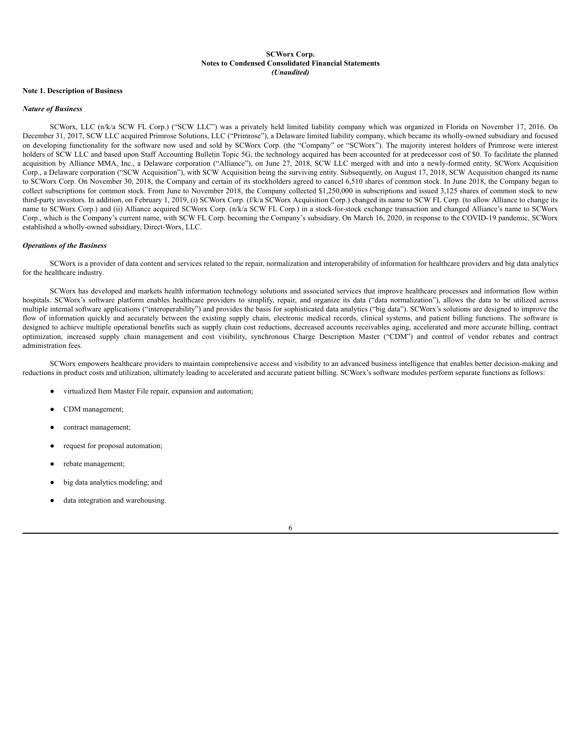### **SCWorx Corp. Notes to Condensed Consolidated Financial Statements** *(Unaudited)*

### <span id="page-8-0"></span>**Note 1. Description of Business**

# *Nature of Business*

SCWorx, LLC (n/k/a SCW FL Corp.) ("SCW LLC") was a privately held limited liability company which was organized in Florida on November 17, 2016. On December 31, 2017, SCW LLC acquired Primrose Solutions, LLC ("Primrose"), a Delaware limited liability company, which became its wholly-owned subsidiary and focused on developing functionality for the software now used and sold by SCWorx Corp. (the "Company" or "SCWorx"). The majority interest holders of Primrose were interest holders of SCW LLC and based upon Staff Accounting Bulletin Topic 5G, the technology acquired has been accounted for at predecessor cost of \$0. To facilitate the planned acquisition by Alliance MMA, Inc., a Delaware corporation ("Alliance"), on June 27, 2018, SCW LLC merged with and into a newly-formed entity, SCWorx Acquisition Corp., a Delaware corporation ("SCW Acquisition"), with SCW Acquisition being the surviving entity. Subsequently, on August 17, 2018, SCW Acquisition changed its name to SCWorx Corp. On November 30, 2018, the Company and certain of its stockholders agreed to cancel 6,510 shares of common stock. In June 2018, the Company began to collect subscriptions for common stock. From June to November 2018, the Company collected \$1,250,000 in subscriptions and issued 3,125 shares of common stock to new third-party investors. In addition, on February 1, 2019, (i) SCWorx Corp. (f/k/a SCWorx Acquisition Corp.) changed its name to SCW FL Corp. (to allow Alliance to change its name to SCWorx Corp.) and (ii) Alliance acquired SCWorx Corp. (n/k/a SCW FL Corp.) in a stock-for-stock exchange transaction and changed Alliance's name to SCWorx Corp., which is the Company's current name, with SCW FL Corp. becoming the Company's subsidiary. On March 16, 2020, in response to the COVID-19 pandemic, SCWorx established a wholly-owned subsidiary, Direct-Worx, LLC.

### *Operations of the Business*

SCWorx is a provider of data content and services related to the repair, normalization and interoperability of information for healthcare providers and big data analytics for the healthcare industry.

SCWorx has developed and markets health information technology solutions and associated services that improve healthcare processes and information flow within hospitals. SCWorx's software platform enables healthcare providers to simplify, repair, and organize its data ("data normalization"), allows the data to be utilized across multiple internal software applications ("interoperability") and provides the basis for sophisticated data analytics ("big data"). SCWorx's solutions are designed to improve the flow of information quickly and accurately between the existing supply chain, electronic medical records, clinical systems, and patient billing functions. The software is designed to achieve multiple operational benefits such as supply chain cost reductions, decreased accounts receivables aging, accelerated and more accurate billing, contract optimization, increased supply chain management and cost visibility, synchronous Charge Description Master ("CDM") and control of vendor rebates and contract administration fees.

SCWorx empowers healthcare providers to maintain comprehensive access and visibility to an advanced business intelligence that enables better decision-making and reductions in product costs and utilization, ultimately leading to accelerated and accurate patient billing. SCWorx's software modules perform separate functions as follows:

- virtualized Item Master File repair, expansion and automation;
- CDM management;
- contract management;
- request for proposal automation;
- rebate management;
- big data analytics modeling; and
- data integration and warehousing.

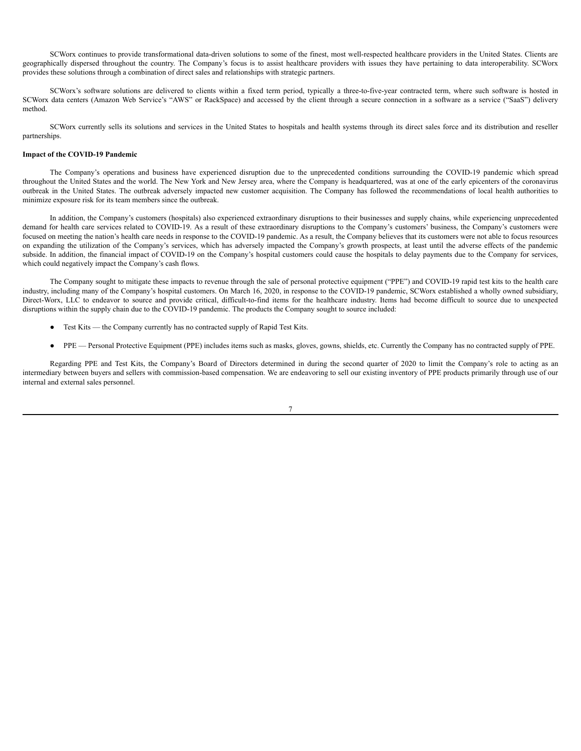SCWorx continues to provide transformational data-driven solutions to some of the finest, most well-respected healthcare providers in the United States. Clients are geographically dispersed throughout the country. The Company's focus is to assist healthcare providers with issues they have pertaining to data interoperability. SCWorx provides these solutions through a combination of direct sales and relationships with strategic partners.

SCWorx's software solutions are delivered to clients within a fixed term period, typically a three-to-five-year contracted term, where such software is hosted in SCWorx data centers (Amazon Web Service's "AWS" or RackSpace) and accessed by the client through a secure connection in a software as a service ("SaaS") delivery method.

SCWorx currently sells its solutions and services in the United States to hospitals and health systems through its direct sales force and its distribution and reseller partnerships.

### **Impact of the COVID-19 Pandemic**

The Company's operations and business have experienced disruption due to the unprecedented conditions surrounding the COVID-19 pandemic which spread throughout the United States and the world. The New York and New Jersey area, where the Company is headquartered, was at one of the early epicenters of the coronavirus outbreak in the United States. The outbreak adversely impacted new customer acquisition. The Company has followed the recommendations of local health authorities to minimize exposure risk for its team members since the outbreak.

In addition, the Company's customers (hospitals) also experienced extraordinary disruptions to their businesses and supply chains, while experiencing unprecedented demand for health care services related to COVID-19. As a result of these extraordinary disruptions to the Company's customers' business, the Company's customers were focused on meeting the nation's health care needs in response to the COVID-19 pandemic. As a result, the Company believes that its customers were not able to focus resources on expanding the utilization of the Company's services, which has adversely impacted the Company's growth prospects, at least until the adverse effects of the pandemic subside. In addition, the financial impact of COVID-19 on the Company's hospital customers could cause the hospitals to delay payments due to the Company for services, which could negatively impact the Company's cash flows.

The Company sought to mitigate these impacts to revenue through the sale of personal protective equipment ("PPE") and COVID-19 rapid test kits to the health care industry, including many of the Company's hospital customers. On March 16, 2020, in response to the COVID-19 pandemic, SCWorx established a wholly owned subsidiary, Direct-Worx, LLC to endeavor to source and provide critical, difficult-to-find items for the healthcare industry. Items had become difficult to source due to unexpected disruptions within the supply chain due to the COVID-19 pandemic. The products the Company sought to source included:

- Test Kits the Company currently has no contracted supply of Rapid Test Kits.
- PPE Personal Protective Equipment (PPE) includes items such as masks, gloves, gowns, shields, etc. Currently the Company has no contracted supply of PPE.

Regarding PPE and Test Kits, the Company's Board of Directors determined in during the second quarter of 2020 to limit the Company's role to acting as an intermediary between buyers and sellers with commission-based compensation. We are endeavoring to sell our existing inventory of PPE products primarily through use of our internal and external sales personnel.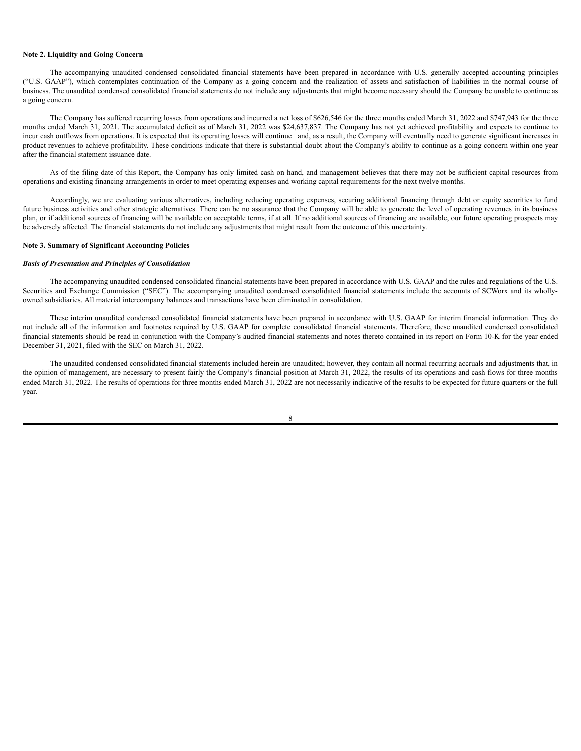#### **Note 2. Liquidity and Going Concern**

The accompanying unaudited condensed consolidated financial statements have been prepared in accordance with U.S. generally accepted accounting principles ("U.S. GAAP"), which contemplates continuation of the Company as a going concern and the realization of assets and satisfaction of liabilities in the normal course of business. The unaudited condensed consolidated financial statements do not include any adjustments that might become necessary should the Company be unable to continue as a going concern.

The Company has suffered recurring losses from operations and incurred a net loss of \$626,546 for the three months ended March 31, 2022 and \$747,943 for the three months ended March 31, 2021. The accumulated deficit as of March 31, 2022 was \$24,637,837. The Company has not yet achieved profitability and expects to continue to incur cash outflows from operations. It is expected that its operating losses will continue and, as a result, the Company will eventually need to generate significant increases in product revenues to achieve profitability. These conditions indicate that there is substantial doubt about the Company's ability to continue as a going concern within one year after the financial statement issuance date.

As of the filing date of this Report, the Company has only limited cash on hand, and management believes that there may not be sufficient capital resources from operations and existing financing arrangements in order to meet operating expenses and working capital requirements for the next twelve months.

Accordingly, we are evaluating various alternatives, including reducing operating expenses, securing additional financing through debt or equity securities to fund future business activities and other strategic alternatives. There can be no assurance that the Company will be able to generate the level of operating revenues in its business plan, or if additional sources of financing will be available on acceptable terms, if at all. If no additional sources of financing are available, our future operating prospects may be adversely affected. The financial statements do not include any adjustments that might result from the outcome of this uncertainty.

## **Note 3. Summary of Significant Accounting Policies**

### *Basis of Presentation and Principles of Consolidation*

The accompanying unaudited condensed consolidated financial statements have been prepared in accordance with U.S. GAAP and the rules and regulations of the U.S. Securities and Exchange Commission ("SEC"). The accompanying unaudited condensed consolidated financial statements include the accounts of SCWorx and its whollyowned subsidiaries. All material intercompany balances and transactions have been eliminated in consolidation.

These interim unaudited condensed consolidated financial statements have been prepared in accordance with U.S. GAAP for interim financial information. They do not include all of the information and footnotes required by U.S. GAAP for complete consolidated financial statements. Therefore, these unaudited condensed consolidated financial statements should be read in conjunction with the Company's audited financial statements and notes thereto contained in its report on Form 10-K for the year ended December 31, 2021, filed with the SEC on March 31, 2022.

The unaudited condensed consolidated financial statements included herein are unaudited; however, they contain all normal recurring accruals and adjustments that, in the opinion of management, are necessary to present fairly the Company's financial position at March 31, 2022, the results of its operations and cash flows for three months ended March 31, 2022. The results of operations for three months ended March 31, 2022 are not necessarily indicative of the results to be expected for future quarters or the full year.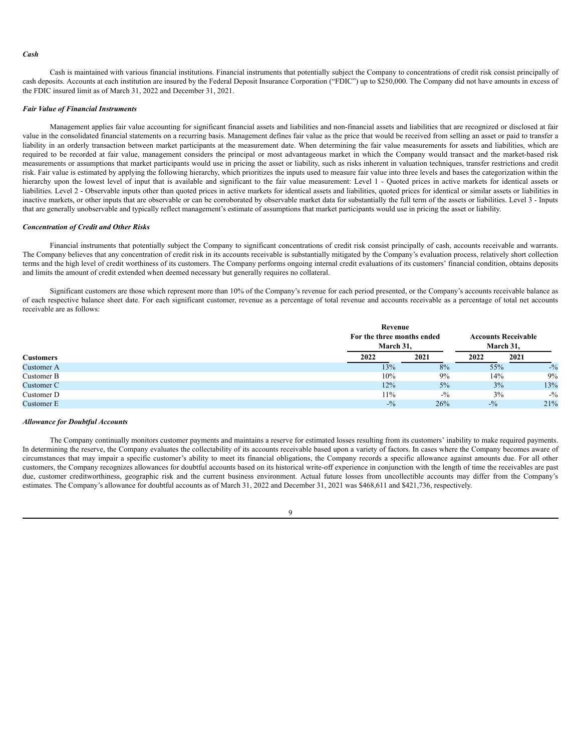#### *Cash*

Cash is maintained with various financial institutions. Financial instruments that potentially subject the Company to concentrations of credit risk consist principally of cash deposits. Accounts at each institution are insured by the Federal Deposit Insurance Corporation ("FDIC") up to \$250,000. The Company did not have amounts in excess of the FDIC insured limit as of March 31, 2022 and December 31, 2021.

### *Fair Value of Financial Instruments*

Management applies fair value accounting for significant financial assets and liabilities and non-financial assets and liabilities that are recognized or disclosed at fair value in the consolidated financial statements on a recurring basis. Management defines fair value as the price that would be received from selling an asset or paid to transfer a liability in an orderly transaction between market participants at the measurement date. When determining the fair value measurements for assets and liabilities, which are required to be recorded at fair value, management considers the principal or most advantageous market in which the Company would transact and the market-based risk measurements or assumptions that market participants would use in pricing the asset or liability, such as risks inherent in valuation techniques, transfer restrictions and credit risk. Fair value is estimated by applying the following hierarchy, which prioritizes the inputs used to measure fair value into three levels and bases the categorization within the hierarchy upon the lowest level of input that is available and significant to the fair value measurement: Level 1 - Quoted prices in active markets for identical assets or liabilities. Level 2 - Observable inputs other than quoted prices in active markets for identical assets and liabilities, quoted prices for identical or similar assets or liabilities in inactive markets, or other inputs that are observable or can be corroborated by observable market data for substantially the full term of the assets or liabilities. Level 3 - Inputs that are generally unobservable and typically reflect management's estimate of assumptions that market participants would use in pricing the asset or liability.

### *Concentration of Credit and Other Risks*

Financial instruments that potentially subject the Company to significant concentrations of credit risk consist principally of cash, accounts receivable and warrants. The Company believes that any concentration of credit risk in its accounts receivable is substantially mitigated by the Company's evaluation process, relatively short collection terms and the high level of credit worthiness of its customers. The Company performs ongoing internal credit evaluations of its customers' financial condition, obtains deposits and limits the amount of credit extended when deemed necessary but generally requires no collateral.

Significant customers are those which represent more than 10% of the Company's revenue for each period presented, or the Company's accounts receivable balance as of each respective balance sheet date. For each significant customer, revenue as a percentage of total revenue and accounts receivable as a percentage of total net accounts receivable are as follows:

| <b>Customers</b> | Revenue<br>For the three months ended<br>March 31, |        | <b>Accounts Receivable</b><br>March 31, |        |
|------------------|----------------------------------------------------|--------|-----------------------------------------|--------|
|                  | 2022                                               | 2021   | 2022                                    | 2021   |
| Customer A       | 13%                                                | 8%     | 55%                                     | $-9/0$ |
| Customer B       | 10%                                                | 9%     | 14%                                     | 9%     |
| Customer C       | 12%                                                | $5\%$  | 3%                                      | 13%    |
| Customer D       | 11%                                                | $-9/0$ | 3%                                      | $-9/0$ |
| Customer E       | $-9/0$                                             | 26%    | $-9/0$                                  | 21%    |

### *Allowance for Doubtful Accounts*

The Company continually monitors customer payments and maintains a reserve for estimated losses resulting from its customers' inability to make required payments. In determining the reserve, the Company evaluates the collectability of its accounts receivable based upon a variety of factors. In cases where the Company becomes aware of circumstances that may impair a specific customer's ability to meet its financial obligations, the Company records a specific allowance against amounts due. For all other customers, the Company recognizes allowances for doubtful accounts based on its historical write-off experience in conjunction with the length of time the receivables are past due, customer creditworthiness, geographic risk and the current business environment. Actual future losses from uncollectible accounts may differ from the Company's estimates. The Company's allowance for doubtful accounts as of March 31, 2022 and December 31, 2021 was \$468,611 and \$421,736, respectively.

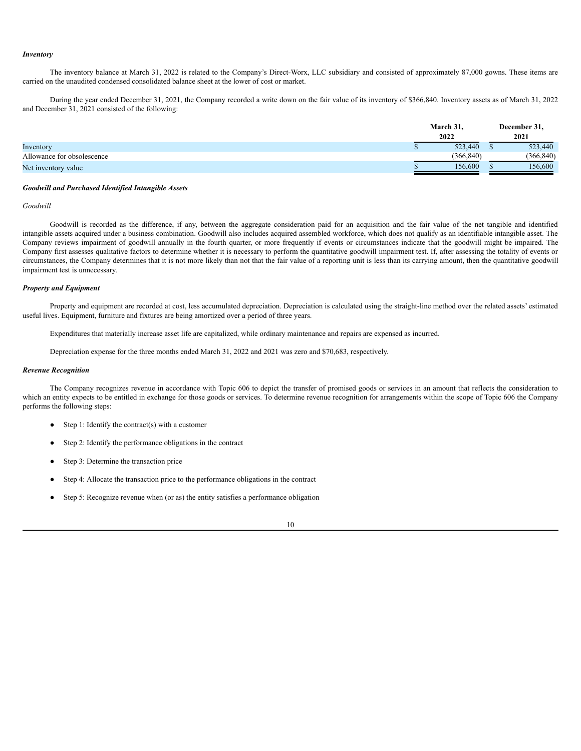#### *Inventory*

The inventory balance at March 31, 2022 is related to the Company's Direct-Worx, LLC subsidiary and consisted of approximately 87,000 gowns. These items are carried on the unaudited condensed consolidated balance sheet at the lower of cost or market.

During the year ended December 31, 2021, the Company recorded a write down on the fair value of its inventory of \$366,840. Inventory assets as of March 31, 2022 and December 31, 2021 consisted of the following:

|                            | March 31, | December 31,<br>2021 |  |  |
|----------------------------|-----------|----------------------|--|--|
|                            | 2022      |                      |  |  |
| Inventory                  | 523,440   | 523,440              |  |  |
| Allowance for obsolescence | (366.840) | (366.840)            |  |  |
| Net inventory value        | 156,600   | 156,600              |  |  |

### *Goodwill and Purchased Identified Intangible Assets*

### *Goodwill*

Goodwill is recorded as the difference, if any, between the aggregate consideration paid for an acquisition and the fair value of the net tangible and identified intangible assets acquired under a business combination. Goodwill also includes acquired assembled workforce, which does not qualify as an identifiable intangible asset. The Company reviews impairment of goodwill annually in the fourth quarter, or more frequently if events or circumstances indicate that the goodwill might be impaired. The Company first assesses qualitative factors to determine whether it is necessary to perform the quantitative goodwill impairment test. If, after assessing the totality of events or circumstances, the Company determines that it is not more likely than not that the fair value of a reporting unit is less than its carrying amount, then the quantitative goodwill impairment test is unnecessary.

### *Property and Equipment*

Property and equipment are recorded at cost, less accumulated depreciation. Depreciation is calculated using the straight-line method over the related assets' estimated useful lives. Equipment, furniture and fixtures are being amortized over a period of three years.

Expenditures that materially increase asset life are capitalized, while ordinary maintenance and repairs are expensed as incurred.

Depreciation expense for the three months ended March 31, 2022 and 2021 was zero and \$70,683, respectively.

### *Revenue Recognition*

The Company recognizes revenue in accordance with Topic 606 to depict the transfer of promised goods or services in an amount that reflects the consideration to which an entity expects to be entitled in exchange for those goods or services. To determine revenue recognition for arrangements within the scope of Topic 606 the Company performs the following steps:

- $\bullet$  Step 1: Identify the contract(s) with a customer
- Step 2: Identify the performance obligations in the contract
- Step 3: Determine the transaction price
- Step 4: Allocate the transaction price to the performance obligations in the contract
- Step 5: Recognize revenue when (or as) the entity satisfies a performance obligation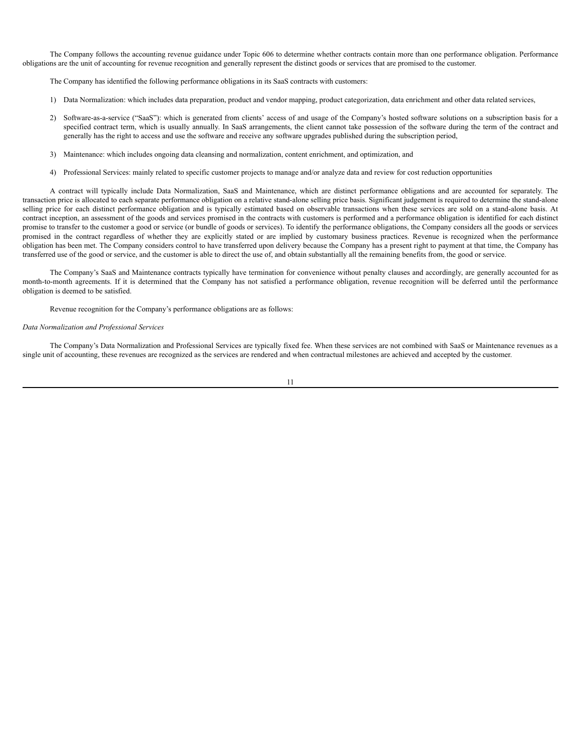The Company follows the accounting revenue guidance under Topic 606 to determine whether contracts contain more than one performance obligation. Performance obligations are the unit of accounting for revenue recognition and generally represent the distinct goods or services that are promised to the customer.

The Company has identified the following performance obligations in its SaaS contracts with customers:

- 1) Data Normalization: which includes data preparation, product and vendor mapping, product categorization, data enrichment and other data related services,
- 2) Software-as-a-service ("SaaS"): which is generated from clients' access of and usage of the Company's hosted software solutions on a subscription basis for a specified contract term, which is usually annually. In SaaS arrangements, the client cannot take possession of the software during the term of the contract and generally has the right to access and use the software and receive any software upgrades published during the subscription period,
- 3) Maintenance: which includes ongoing data cleansing and normalization, content enrichment, and optimization, and
- 4) Professional Services: mainly related to specific customer projects to manage and/or analyze data and review for cost reduction opportunities

A contract will typically include Data Normalization, SaaS and Maintenance, which are distinct performance obligations and are accounted for separately. The transaction price is allocated to each separate performance obligation on a relative stand-alone selling price basis. Significant judgement is required to determine the stand-alone selling price for each distinct performance obligation and is typically estimated based on observable transactions when these services are sold on a stand-alone basis. At contract inception, an assessment of the goods and services promised in the contracts with customers is performed and a performance obligation is identified for each distinct promise to transfer to the customer a good or service (or bundle of goods or services). To identify the performance obligations, the Company considers all the goods or services promised in the contract regardless of whether they are explicitly stated or are implied by customary business practices. Revenue is recognized when the performance obligation has been met. The Company considers control to have transferred upon delivery because the Company has a present right to payment at that time, the Company has transferred use of the good or service, and the customer is able to direct the use of, and obtain substantially all the remaining benefits from, the good or service.

The Company's SaaS and Maintenance contracts typically have termination for convenience without penalty clauses and accordingly, are generally accounted for as month-to-month agreements. If it is determined that the Company has not satisfied a performance obligation, revenue recognition will be deferred until the performance obligation is deemed to be satisfied.

Revenue recognition for the Company's performance obligations are as follows:

## *Data Normalization and Professional Services*

The Company's Data Normalization and Professional Services are typically fixed fee. When these services are not combined with SaaS or Maintenance revenues as a single unit of accounting, these revenues are recognized as the services are rendered and when contractual milestones are achieved and accepted by the customer.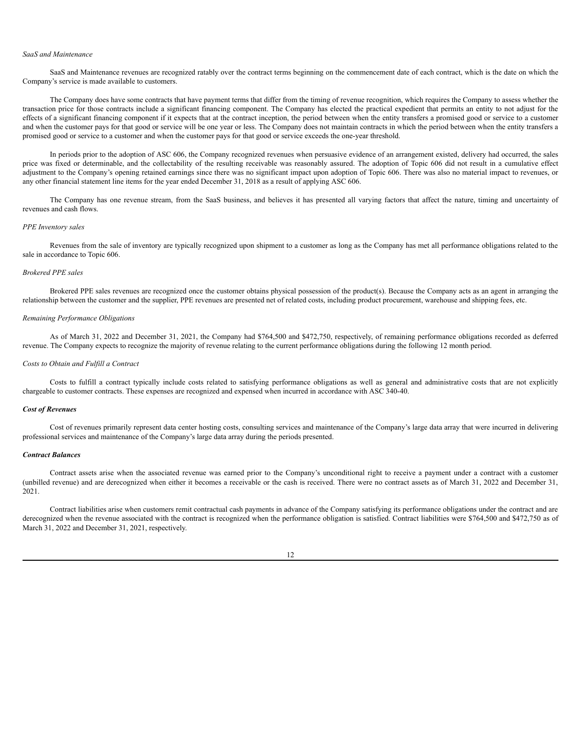### *SaaS and Maintenance*

SaaS and Maintenance revenues are recognized ratably over the contract terms beginning on the commencement date of each contract, which is the date on which the Company's service is made available to customers.

The Company does have some contracts that have payment terms that differ from the timing of revenue recognition, which requires the Company to assess whether the transaction price for those contracts include a significant financing component. The Company has elected the practical expedient that permits an entity to not adjust for the effects of a significant financing component if it expects that at the contract inception, the period between when the entity transfers a promised good or service to a customer and when the customer pays for that good or service will be one year or less. The Company does not maintain contracts in which the period between when the entity transfers a promised good or service to a customer and when the customer pays for that good or service exceeds the one-year threshold.

In periods prior to the adoption of ASC 606, the Company recognized revenues when persuasive evidence of an arrangement existed, delivery had occurred, the sales price was fixed or determinable, and the collectability of the resulting receivable was reasonably assured. The adoption of Topic 606 did not result in a cumulative effect adjustment to the Company's opening retained earnings since there was no significant impact upon adoption of Topic 606. There was also no material impact to revenues, or any other financial statement line items for the year ended December 31, 2018 as a result of applying ASC 606.

The Company has one revenue stream, from the SaaS business, and believes it has presented all varying factors that affect the nature, timing and uncertainty of revenues and cash flows.

### *PPE Inventory sales*

Revenues from the sale of inventory are typically recognized upon shipment to a customer as long as the Company has met all performance obligations related to the sale in accordance to Topic 606.

### *Brokered PPE sales*

Brokered PPE sales revenues are recognized once the customer obtains physical possession of the product(s). Because the Company acts as an agent in arranging the relationship between the customer and the supplier, PPE revenues are presented net of related costs, including product procurement, warehouse and shipping fees, etc.

### *Remaining Performance Obligations*

As of March 31, 2022 and December 31, 2021, the Company had \$764,500 and \$472,750, respectively, of remaining performance obligations recorded as deferred revenue. The Company expects to recognize the majority of revenue relating to the current performance obligations during the following 12 month period.

### *Costs to Obtain and Fulfill a Contract*

Costs to fulfill a contract typically include costs related to satisfying performance obligations as well as general and administrative costs that are not explicitly chargeable to customer contracts. These expenses are recognized and expensed when incurred in accordance with ASC 340-40.

### *Cost of Revenues*

Cost of revenues primarily represent data center hosting costs, consulting services and maintenance of the Company's large data array that were incurred in delivering professional services and maintenance of the Company's large data array during the periods presented.

### *Contract Balances*

Contract assets arise when the associated revenue was earned prior to the Company's unconditional right to receive a payment under a contract with a customer (unbilled revenue) and are derecognized when either it becomes a receivable or the cash is received. There were no contract assets as of March 31, 2022 and December 31, 2021.

Contract liabilities arise when customers remit contractual cash payments in advance of the Company satisfying its performance obligations under the contract and are derecognized when the revenue associated with the contract is recognized when the performance obligation is satisfied. Contract liabilities were \$764,500 and \$472,750 as of March 31, 2022 and December 31, 2021, respectively.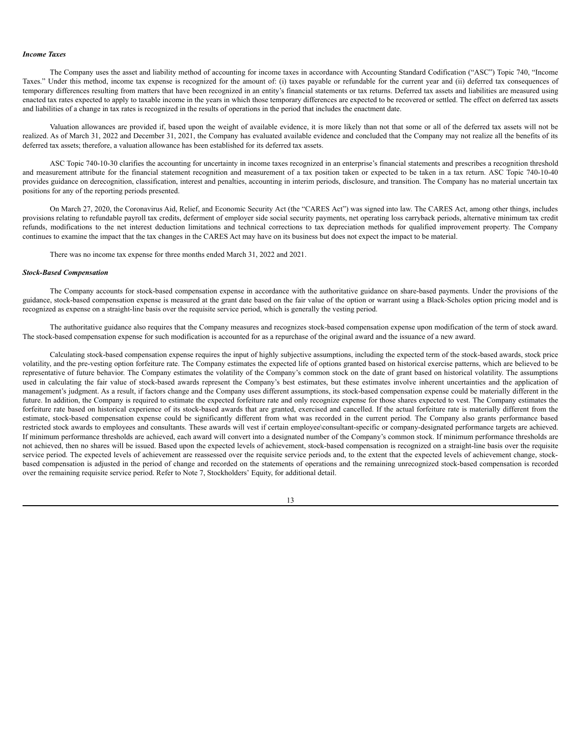#### *Income Taxes*

The Company uses the asset and liability method of accounting for income taxes in accordance with Accounting Standard Codification ("ASC") Topic 740, "Income Taxes." Under this method, income tax expense is recognized for the amount of: (i) taxes payable or refundable for the current year and (ii) deferred tax consequences of temporary differences resulting from matters that have been recognized in an entity's financial statements or tax returns. Deferred tax assets and liabilities are measured using enacted tax rates expected to apply to taxable income in the years in which those temporary differences are expected to be recovered or settled. The effect on deferred tax assets and liabilities of a change in tax rates is recognized in the results of operations in the period that includes the enactment date.

Valuation allowances are provided if, based upon the weight of available evidence, it is more likely than not that some or all of the deferred tax assets will not be realized. As of March 31, 2022 and December 31, 2021, the Company has evaluated available evidence and concluded that the Company may not realize all the benefits of its deferred tax assets; therefore, a valuation allowance has been established for its deferred tax assets.

ASC Topic 740-10-30 clarifies the accounting for uncertainty in income taxes recognized in an enterprise's financial statements and prescribes a recognition threshold and measurement attribute for the financial statement recognition and measurement of a tax position taken or expected to be taken in a tax return. ASC Topic 740-10-40 provides guidance on derecognition, classification, interest and penalties, accounting in interim periods, disclosure, and transition. The Company has no material uncertain tax positions for any of the reporting periods presented.

On March 27, 2020, the Coronavirus Aid, Relief, and Economic Security Act (the "CARES Act") was signed into law. The CARES Act, among other things, includes provisions relating to refundable payroll tax credits, deferment of employer side social security payments, net operating loss carryback periods, alternative minimum tax credit refunds, modifications to the net interest deduction limitations and technical corrections to tax depreciation methods for qualified improvement property. The Company continues to examine the impact that the tax changes in the CARES Act may have on its business but does not expect the impact to be material.

There was no income tax expense for three months ended March 31, 2022 and 2021.

### *Stock-Based Compensation*

The Company accounts for stock-based compensation expense in accordance with the authoritative guidance on share-based payments. Under the provisions of the guidance, stock-based compensation expense is measured at the grant date based on the fair value of the option or warrant using a Black-Scholes option pricing model and is recognized as expense on a straight-line basis over the requisite service period, which is generally the vesting period.

The authoritative guidance also requires that the Company measures and recognizes stock-based compensation expense upon modification of the term of stock award. The stock-based compensation expense for such modification is accounted for as a repurchase of the original award and the issuance of a new award.

Calculating stock-based compensation expense requires the input of highly subjective assumptions, including the expected term of the stock-based awards, stock price volatility, and the pre-vesting option forfeiture rate. The Company estimates the expected life of options granted based on historical exercise patterns, which are believed to be representative of future behavior. The Company estimates the volatility of the Company's common stock on the date of grant based on historical volatility. The assumptions used in calculating the fair value of stock-based awards represent the Company's best estimates, but these estimates involve inherent uncertainties and the application of management's judgment. As a result, if factors change and the Company uses different assumptions, its stock-based compensation expense could be materially different in the future. In addition, the Company is required to estimate the expected forfeiture rate and only recognize expense for those shares expected to vest. The Company estimates the forfeiture rate based on historical experience of its stock-based awards that are granted, exercised and cancelled. If the actual forfeiture rate is materially different from the estimate, stock-based compensation expense could be significantly different from what was recorded in the current period. The Company also grants performance based restricted stock awards to employees and consultants. These awards will vest if certain employee\consultant-specific or company-designated performance targets are achieved. If minimum performance thresholds are achieved, each award will convert into a designated number of the Company's common stock. If minimum performance thresholds are not achieved, then no shares will be issued. Based upon the expected levels of achievement, stock-based compensation is recognized on a straight-line basis over the requisite service period. The expected levels of achievement are reassessed over the requisite service periods and, to the extent that the expected levels of achievement change, stockbased compensation is adjusted in the period of change and recorded on the statements of operations and the remaining unrecognized stock-based compensation is recorded over the remaining requisite service period. Refer to Note 7, Stockholders' Equity, for additional detail.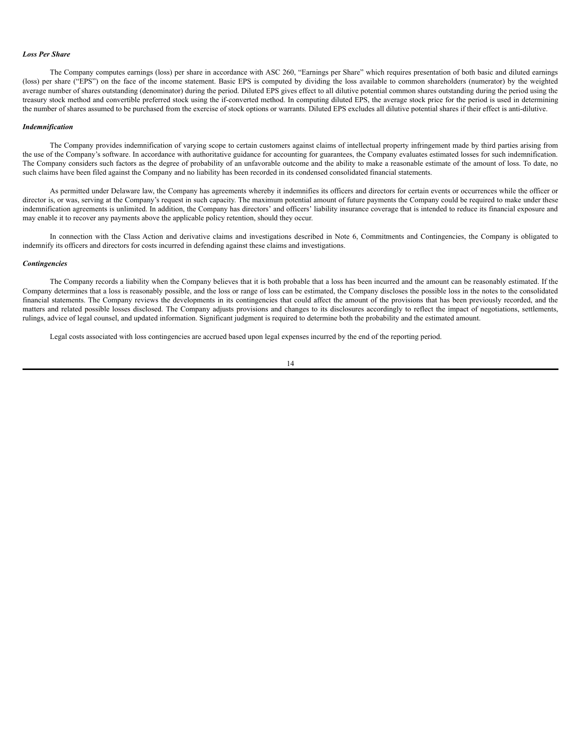#### *Loss Per Share*

The Company computes earnings (loss) per share in accordance with ASC 260, "Earnings per Share" which requires presentation of both basic and diluted earnings (loss) per share ("EPS") on the face of the income statement. Basic EPS is computed by dividing the loss available to common shareholders (numerator) by the weighted average number of shares outstanding (denominator) during the period. Diluted EPS gives effect to all dilutive potential common shares outstanding during the period using the treasury stock method and convertible preferred stock using the if-converted method. In computing diluted EPS, the average stock price for the period is used in determining the number of shares assumed to be purchased from the exercise of stock options or warrants. Diluted EPS excludes all dilutive potential shares if their effect is anti-dilutive.

### *Indemnification*

The Company provides indemnification of varying scope to certain customers against claims of intellectual property infringement made by third parties arising from the use of the Company's software. In accordance with authoritative guidance for accounting for guarantees, the Company evaluates estimated losses for such indemnification. The Company considers such factors as the degree of probability of an unfavorable outcome and the ability to make a reasonable estimate of the amount of loss. To date, no such claims have been filed against the Company and no liability has been recorded in its condensed consolidated financial statements.

As permitted under Delaware law, the Company has agreements whereby it indemnifies its officers and directors for certain events or occurrences while the officer or director is, or was, serving at the Company's request in such capacity. The maximum potential amount of future payments the Company could be required to make under these indemnification agreements is unlimited. In addition, the Company has directors' and officers' liability insurance coverage that is intended to reduce its financial exposure and may enable it to recover any payments above the applicable policy retention, should they occur.

In connection with the Class Action and derivative claims and investigations described in Note 6, Commitments and Contingencies, the Company is obligated to indemnify its officers and directors for costs incurred in defending against these claims and investigations.

### *Contingencies*

The Company records a liability when the Company believes that it is both probable that a loss has been incurred and the amount can be reasonably estimated. If the Company determines that a loss is reasonably possible, and the loss or range of loss can be estimated, the Company discloses the possible loss in the notes to the consolidated financial statements. The Company reviews the developments in its contingencies that could affect the amount of the provisions that has been previously recorded, and the matters and related possible losses disclosed. The Company adjusts provisions and changes to its disclosures accordingly to reflect the impact of negotiations, settlements, rulings, advice of legal counsel, and updated information. Significant judgment is required to determine both the probability and the estimated amount.

Legal costs associated with loss contingencies are accrued based upon legal expenses incurred by the end of the reporting period.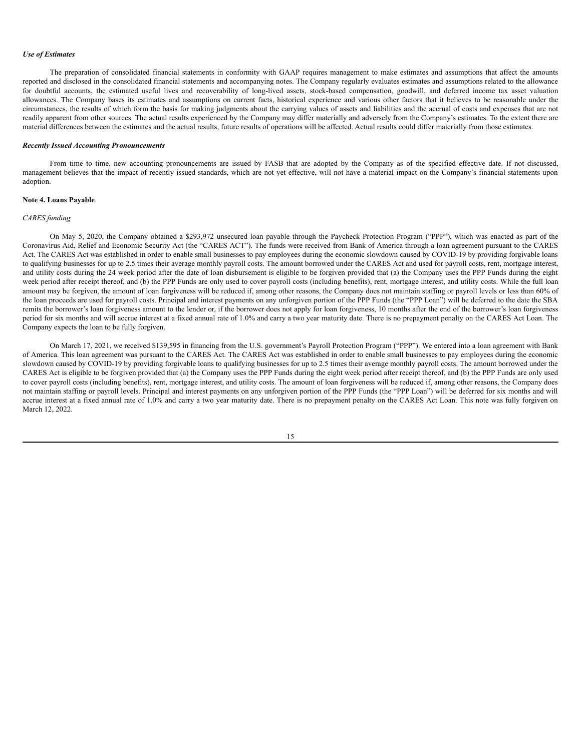### *Use of Estimates*

The preparation of consolidated financial statements in conformity with GAAP requires management to make estimates and assumptions that affect the amounts reported and disclosed in the consolidated financial statements and accompanying notes. The Company regularly evaluates estimates and assumptions related to the allowance for doubtful accounts, the estimated useful lives and recoverability of long-lived assets, stock-based compensation, goodwill, and deferred income tax asset valuation allowances. The Company bases its estimates and assumptions on current facts, historical experience and various other factors that it believes to be reasonable under the circumstances, the results of which form the basis for making judgments about the carrying values of assets and liabilities and the accrual of costs and expenses that are not readily apparent from other sources. The actual results experienced by the Company may differ materially and adversely from the Company's estimates. To the extent there are material differences between the estimates and the actual results, future results of operations will be affected. Actual results could differ materially from those estimates.

# *Recently Issued Accounting Pronouncements*

From time to time, new accounting pronouncements are issued by FASB that are adopted by the Company as of the specified effective date. If not discussed, management believes that the impact of recently issued standards, which are not yet effective, will not have a material impact on the Company's financial statements upon adoption.

### **Note 4. Loans Payable**

### *CARES funding*

On May 5, 2020, the Company obtained a \$293,972 unsecured loan payable through the Paycheck Protection Program ("PPP"), which was enacted as part of the Coronavirus Aid, Relief and Economic Security Act (the "CARES ACT"). The funds were received from Bank of America through a loan agreement pursuant to the CARES Act. The CARES Act was established in order to enable small businesses to pay employees during the economic slowdown caused by COVID-19 by providing forgivable loans to qualifying businesses for up to 2.5 times their average monthly payroll costs. The amount borrowed under the CARES Act and used for payroll costs, rent, mortgage interest, and utility costs during the 24 week period after the date of loan disbursement is eligible to be forgiven provided that (a) the Company uses the PPP Funds during the eight week period after receipt thereof, and (b) the PPP Funds are only used to cover payroll costs (including benefits), rent, mortgage interest, and utility costs. While the full loan amount may be forgiven, the amount of loan forgiveness will be reduced if, among other reasons, the Company does not maintain staffing or payroll levels or less than 60% of the loan proceeds are used for payroll costs. Principal and interest payments on any unforgiven portion of the PPP Funds (the "PPP Loan") will be deferred to the date the SBA remits the borrower's loan forgiveness amount to the lender or, if the borrower does not apply for loan forgiveness, 10 months after the end of the borrower's loan forgiveness period for six months and will accrue interest at a fixed annual rate of 1.0% and carry a two year maturity date. There is no prepayment penalty on the CARES Act Loan. The Company expects the loan to be fully forgiven.

On March 17, 2021, we received \$139,595 in financing from the U.S. government's Payroll Protection Program ("PPP"). We entered into a loan agreement with Bank of America. This loan agreement was pursuant to the CARES Act. The CARES Act was established in order to enable small businesses to pay employees during the economic slowdown caused by COVID-19 by providing forgivable loans to qualifying businesses for up to 2.5 times their average monthly payroll costs. The amount borrowed under the CARES Act is eligible to be forgiven provided that (a) the Company uses the PPP Funds during the eight week period after receipt thereof, and (b) the PPP Funds are only used to cover payroll costs (including benefits), rent, mortgage interest, and utility costs. The amount of loan forgiveness will be reduced if, among other reasons, the Company does not maintain staffing or payroll levels. Principal and interest payments on any unforgiven portion of the PPP Funds (the "PPP Loan") will be deferred for six months and will accrue interest at a fixed annual rate of 1.0% and carry a two year maturity date. There is no prepayment penalty on the CARES Act Loan. This note was fully forgiven on March 12, 2022.

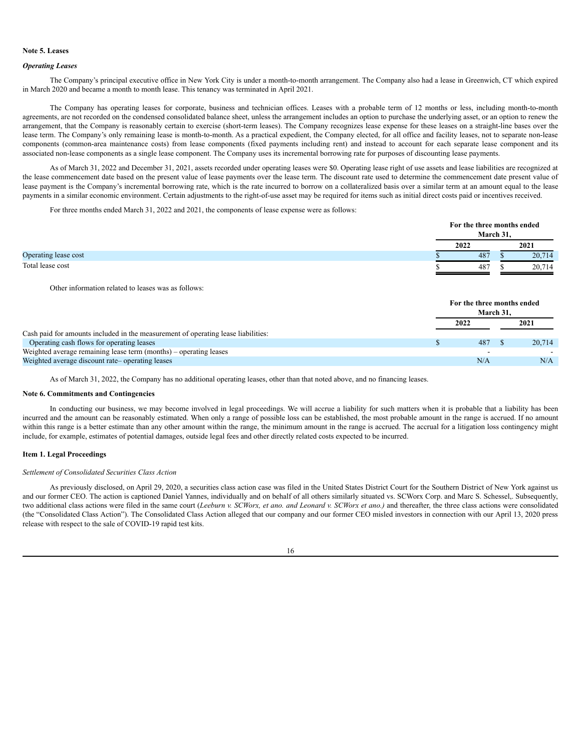### **Note 5. Leases**

## *Operating Leases*

The Company's principal executive office in New York City is under a month-to-month arrangement. The Company also had a lease in Greenwich, CT which expired in March 2020 and became a month to month lease. This tenancy was terminated in April 2021.

The Company has operating leases for corporate, business and technician offices. Leases with a probable term of 12 months or less, including month-to-month agreements, are not recorded on the condensed consolidated balance sheet, unless the arrangement includes an option to purchase the underlying asset, or an option to renew the arrangement, that the Company is reasonably certain to exercise (short-term leases). The Company recognizes lease expense for these leases on a straight-line bases over the lease term. The Company's only remaining lease is month-to-month. As a practical expedient, the Company elected, for all office and facility leases, not to separate non-lease components (common-area maintenance costs) from lease components (fixed payments including rent) and instead to account for each separate lease component and its associated non-lease components as a single lease component. The Company uses its incremental borrowing rate for purposes of discounting lease payments.

As of March 31, 2022 and December 31, 2021, assets recorded under operating leases were \$0. Operating lease right of use assets and lease liabilities are recognized at the lease commencement date based on the present value of lease payments over the lease term. The discount rate used to determine the commencement date present value of lease payment is the Company's incremental borrowing rate, which is the rate incurred to borrow on a collateralized basis over a similar term at an amount equal to the lease payments in a similar economic environment. Certain adjustments to the right-of-use asset may be required for items such as initial direct costs paid or incentives received.

For three months ended March 31, 2022 and 2021, the components of lease expense were as follows:

|                      | For the three months ended<br>March 31, |        |
|----------------------|-----------------------------------------|--------|
|                      | 2022                                    | 2021   |
| Operating lease cost | 487                                     | 20,714 |
| Total lease cost     | 487                                     | 20,714 |
|                      |                                         |        |

Other information related to leases was as follows:

|                                                                                   | For the three months ended<br>March 31. |           |
|-----------------------------------------------------------------------------------|-----------------------------------------|-----------|
|                                                                                   | 2022                                    | 2021      |
| Cash paid for amounts included in the measurement of operating lease liabilities: |                                         |           |
| Operating cash flows for operating leases                                         | 487                                     | 20.714    |
| Weighted average remaining lease term (months) – operating leases                 |                                         |           |
| Weighted average discount rate - operating leases                                 | N/A                                     | $\rm N/A$ |

As of March 31, 2022, the Company has no additional operating leases, other than that noted above, and no financing leases.

### **Note 6. Commitments and Contingencies**

In conducting our business, we may become involved in legal proceedings. We will accrue a liability for such matters when it is probable that a liability has been incurred and the amount can be reasonably estimated. When only a range of possible loss can be established, the most probable amount in the range is accrued. If no amount within this range is a better estimate than any other amount within the range, the minimum amount in the range is accrued. The accrual for a litigation loss contingency might include, for example, estimates of potential damages, outside legal fees and other directly related costs expected to be incurred.

### **Item 1. Legal Proceedings**

#### *Settlement of Consolidated Securities Class Action*

As previously disclosed, on April 29, 2020, a securities class action case was filed in the United States District Court for the Southern District of New York against us and our former CEO. The action is captioned Daniel Yannes, individually and on behalf of all others similarly situated vs. SCWorx Corp. and Marc S. Schessel,. Subsequently, two additional class actions were filed in the same court (Leeburn v. SCWorx, et ano. and Leonard v. SCWorx et ano.) and thereafter, the three class actions were consolidated (the "Consolidated Class Action"). The Consolidated Class Action alleged that our company and our former CEO misled investors in connection with our April 13, 2020 press release with respect to the sale of COVID-19 rapid test kits.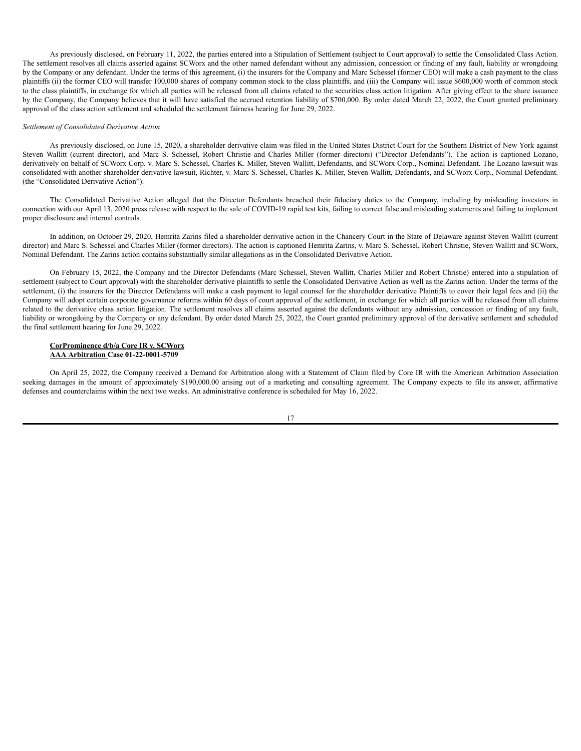As previously disclosed, on February 11, 2022, the parties entered into a Stipulation of Settlement (subject to Court approval) to settle the Consolidated Class Action. The settlement resolves all claims asserted against SCWorx and the other named defendant without any admission, concession or finding of any fault, liability or wrongdoing by the Company or any defendant. Under the terms of this agreement, (i) the insurers for the Company and Marc Schessel (former CEO) will make a cash payment to the class plaintiffs (ii) the former CEO will transfer 100,000 shares of company common stock to the class plaintiffs, and (iii) the Company will issue \$600,000 worth of common stock to the class plaintiffs, in exchange for which all parties will be released from all claims related to the securities class action litigation. After giving effect to the share issuance by the Company, the Company believes that it will have satisfied the accrued retention liability of \$700,000. By order dated March 22, 2022, the Court granted preliminary approval of the class action settlement and scheduled the settlement fairness hearing for June 29, 2022.

### *Settlement of Consolidated Derivative Action*

As previously disclosed, on June 15, 2020, a shareholder derivative claim was filed in the United States District Court for the Southern District of New York against Steven Wallitt (current director), and Marc S. Schessel, Robert Christie and Charles Miller (former directors) ("Director Defendants"). The action is captioned Lozano, derivatively on behalf of SCWorx Corp. v. Marc S. Schessel, Charles K. Miller, Steven Wallitt, Defendants, and SCWorx Corp., Nominal Defendant. The Lozano lawsuit was consolidated with another shareholder derivative lawsuit, Richter, v. Marc S. Schessel, Charles K. Miller, Steven Wallitt, Defendants, and SCWorx Corp., Nominal Defendant. (the "Consolidated Derivative Action").

The Consolidated Derivative Action alleged that the Director Defendants breached their fiduciary duties to the Company, including by misleading investors in connection with our April 13, 2020 press release with respect to the sale of COVID-19 rapid test kits, failing to correct false and misleading statements and failing to implement proper disclosure and internal controls.

In addition, on October 29, 2020, Hemrita Zarins filed a shareholder derivative action in the Chancery Court in the State of Delaware against Steven Wallitt (current director) and Marc S. Schessel and Charles Miller (former directors). The action is captioned Hemrita Zarins, v. Marc S. Schessel, Robert Christie, Steven Wallitt and SCWorx, Nominal Defendant. The Zarins action contains substantially similar allegations as in the Consolidated Derivative Action.

On February 15, 2022, the Company and the Director Defendants (Marc Schessel, Steven Wallitt, Charles Miller and Robert Christie) entered into a stipulation of settlement (subject to Court approval) with the shareholder derivative plaintiffs to settle the Consolidated Derivative Action as well as the Zarins action. Under the terms of the settlement, (i) the insurers for the Director Defendants will make a cash payment to legal counsel for the shareholder derivative Plaintiffs to cover their legal fees and (ii) the Company will adopt certain corporate governance reforms within 60 days of court approval of the settlement, in exchange for which all parties will be released from all claims related to the derivative class action litigation. The settlement resolves all claims asserted against the defendants without any admission, concession or finding of any fault, liability or wrongdoing by the Company or any defendant. By order dated March 25, 2022, the Court granted preliminary approval of the derivative settlement and scheduled the final settlement hearing for June 29, 2022.

### **CorProminence d/b/a Core IR v. SCWorx AAA Arbitration Case 01-22-0001-5709**

On April 25, 2022, the Company received a Demand for Arbitration along with a Statement of Claim filed by Core IR with the American Arbitration Association seeking damages in the amount of approximately \$190,000.00 arising out of a marketing and consulting agreement. The Company expects to file its answer, affirmative defenses and counterclaims within the next two weeks. An administrative conference is scheduled for May 16, 2022.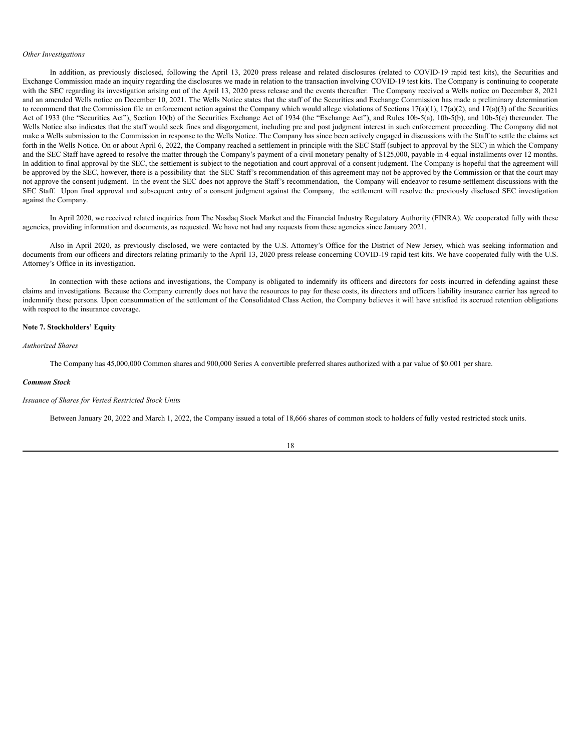#### *Other Investigations*

In addition, as previously disclosed, following the April 13, 2020 press release and related disclosures (related to COVID-19 rapid test kits), the Securities and Exchange Commission made an inquiry regarding the disclosures we made in relation to the transaction involving COVID-19 test kits. The Company is continuing to cooperate with the SEC regarding its investigation arising out of the April 13, 2020 press release and the events thereafter. The Company received a Wells notice on December 8, 2021 and an amended Wells notice on December 10, 2021. The Wells Notice states that the staff of the Securities and Exchange Commission has made a preliminary determination to recommend that the Commission file an enforcement action against the Company which would allege violations of Sections 17(a)(1), 17(a)(2), and 17(a)(3) of the Securities Act of 1933 (the "Securities Act"), Section 10(b) of the Securities Exchange Act of 1934 (the "Exchange Act"), and Rules 10b-5(a), 10b-5(b), and 10b-5(c) thereunder. The Wells Notice also indicates that the staff would seek fines and disgorgement, including pre and post judgment interest in such enforcement proceeding. The Company did not make a Wells submission to the Commission in response to the Wells Notice. The Company has since been actively engaged in discussions with the Staff to settle the claims set forth in the Wells Notice. On or about April 6, 2022, the Company reached a settlement in principle with the SEC Staff (subject to approval by the SEC) in which the Company and the SEC Staff have agreed to resolve the matter through the Company's payment of a civil monetary penalty of \$125,000, payable in 4 equal installments over 12 months. In addition to final approval by the SEC, the settlement is subject to the negotiation and court approval of a consent judgment. The Company is hopeful that the agreement will be approved by the SEC, however, there is a possibility that the SEC Staff's recommendation of this agreement may not be approved by the Commission or that the court may not approve the consent judgment. In the event the SEC does not approve the Staff's recommendation, the Company will endeavor to resume settlement discussions with the SEC Staff. Upon final approval and subsequent entry of a consent judgment against the Company, the settlement will resolve the previously disclosed SEC investigation against the Company.

In April 2020, we received related inquiries from The Nasdaq Stock Market and the Financial Industry Regulatory Authority (FINRA). We cooperated fully with these agencies, providing information and documents, as requested. We have not had any requests from these agencies since January 2021.

Also in April 2020, as previously disclosed, we were contacted by the U.S. Attorney's Office for the District of New Jersey, which was seeking information and documents from our officers and directors relating primarily to the April 13, 2020 press release concerning COVID-19 rapid test kits. We have cooperated fully with the U.S. Attorney's Office in its investigation.

In connection with these actions and investigations, the Company is obligated to indemnify its officers and directors for costs incurred in defending against these claims and investigations. Because the Company currently does not have the resources to pay for these costs, its directors and officers liability insurance carrier has agreed to indemnify these persons. Upon consummation of the settlement of the Consolidated Class Action, the Company believes it will have satisfied its accrued retention obligations with respect to the insurance coverage.

## **Note 7. Stockholders' Equity**

### *Authorized Shares*

The Company has 45,000,000 Common shares and 900,000 Series A convertible preferred shares authorized with a par value of \$0.001 per share.

#### *Common Stock*

### *Issuance of Shares for Vested Restricted Stock Units*

Between January 20, 2022 and March 1, 2022, the Company issued a total of 18,666 shares of common stock to holders of fully vested restricted stock units.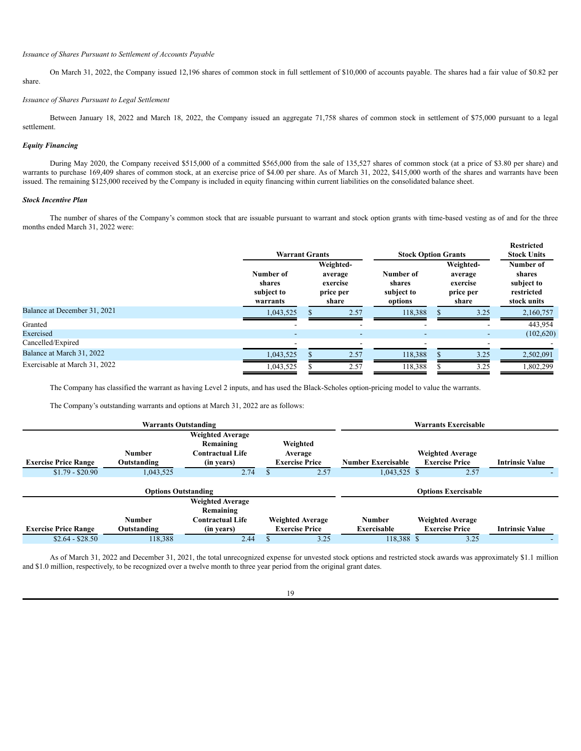# *Issuance of Shares Pursuant to Settlement of Accounts Payable*

On March 31, 2022, the Company issued 12,196 shares of common stock in full settlement of \$10,000 of accounts payable. The shares had a fair value of \$0.82 per share.

## *Issuance of Shares Pursuant to Legal Settlement*

Between January 18, 2022 and March 18, 2022, the Company issued an aggregate 71,758 shares of common stock in settlement of \$75,000 pursuant to a legal settlement.

# *Equity Financing*

During May 2020, the Company received \$515,000 of a committed \$565,000 from the sale of 135,527 shares of common stock (at a price of \$3.80 per share) and warrants to purchase 169,409 shares of common stock, at an exercise price of \$4.00 per share. As of March 31, 2022, \$415,000 worth of the shares and warrants have been issued. The remaining \$125,000 received by the Company is included in equity financing within current liabilities on the consolidated balance sheet.

### *Stock Incentive Plan*

The number of shares of the Company's common stock that are issuable pursuant to warrant and stock option grants with time-based vesting as of and for the three months ended March 31, 2022 were:

**Restricted**

|                               | <b>Warrant Grants</b>                                                                                   |  |                                              | <b>Stock Option Grants</b> | ixesti icteu<br><b>Stock Units</b>                     |                                                                |           |
|-------------------------------|---------------------------------------------------------------------------------------------------------|--|----------------------------------------------|----------------------------|--------------------------------------------------------|----------------------------------------------------------------|-----------|
|                               | Weighted-<br>Number of<br>average<br>shares<br>exercise<br>subject to<br>price per<br>share<br>warrants |  | Number of<br>shares<br>subject to<br>options |                            | Weighted-<br>average<br>exercise<br>price per<br>share | Number of<br>shares<br>subject to<br>restricted<br>stock units |           |
| Balance at December 31, 2021  | 1,043,525                                                                                               |  | 2.57                                         | 118,388                    |                                                        | 3.25                                                           | 2,160,757 |
| Granted                       | -                                                                                                       |  | -                                            |                            |                                                        |                                                                | 443,954   |
| Exercised                     |                                                                                                         |  |                                              |                            |                                                        |                                                                | (102,620) |
| Cancelled/Expired             |                                                                                                         |  |                                              |                            |                                                        |                                                                |           |
| Balance at March 31, 2022     | 1,043,525                                                                                               |  | 2.57                                         | 118,388                    |                                                        | 3.25                                                           | 2,502,091 |
| Exercisable at March 31, 2022 | 1,043,525                                                                                               |  | 2.57                                         | 118,388                    |                                                        | 3.25                                                           | 1,802,299 |

The Company has classified the warrant as having Level 2 inputs, and has used the Black-Scholes option-pricing model to value the warrants.

The Company's outstanding warrants and options at March 31, 2022 are as follows:

| <b>Warrants Outstanding</b>                     |                                           |                                                                                       |                                                      | <b>Warrants Exercisable</b>               |                                                          |                        |
|-------------------------------------------------|-------------------------------------------|---------------------------------------------------------------------------------------|------------------------------------------------------|-------------------------------------------|----------------------------------------------------------|------------------------|
| <b>Exercise Price Range</b><br>$$1.79 - $20.90$ | <b>Number</b><br>Outstanding<br>1,043,525 | <b>Weighted Average</b><br>Remaining<br><b>Contractual Life</b><br>(in years)<br>2.74 | Weighted<br>Average<br><b>Exercise Price</b><br>2.57 | <b>Number Exercisable</b><br>1,043,525 \$ | <b>Weighted Average</b><br><b>Exercise Price</b><br>2.57 | <b>Intrinsic Value</b> |
|                                                 |                                           |                                                                                       |                                                      |                                           |                                                          |                        |
|                                                 | <b>Options Outstanding</b>                |                                                                                       |                                                      |                                           | <b>Options Exercisable</b>                               |                        |
|                                                 | <b>Number</b>                             | <b>Weighted Average</b><br>Remaining<br><b>Contractual Life</b>                       | <b>Weighted Average</b>                              | <b>Number</b>                             | <b>Weighted Average</b>                                  |                        |
| <b>Exercise Price Range</b>                     | Outstanding                               | (in years)                                                                            | <b>Exercise Price</b>                                | <b>Exercisable</b>                        | <b>Exercise Price</b>                                    | <b>Intrinsic Value</b> |
| $$2.64 - $28.50$                                | 118,388                                   | 2.44                                                                                  | 3.25                                                 | 118,388 \$                                | 3.25                                                     |                        |

As of March 31, 2022 and December 31, 2021, the total unrecognized expense for unvested stock options and restricted stock awards was approximately \$1.1 million and \$1.0 million, respectively, to be recognized over a twelve month to three year period from the original grant dates.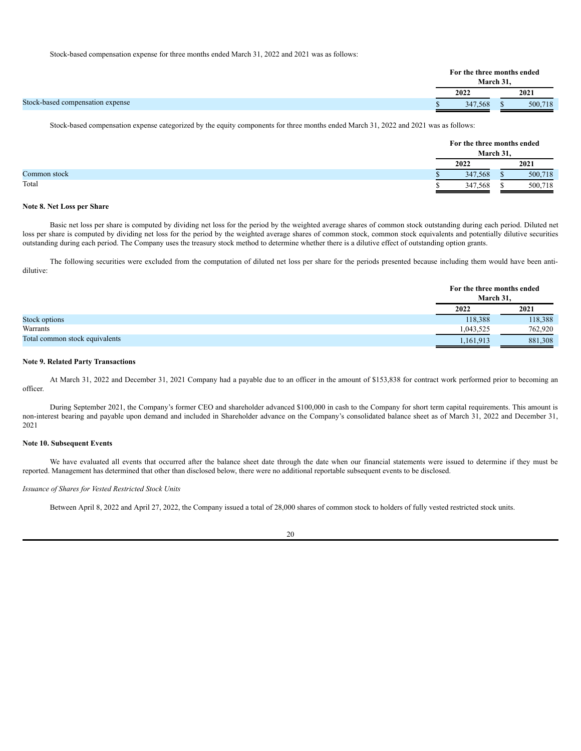Stock-based compensation expense for three months ended March 31, 2022 and 2021 was as follows:

|                                  | For the three months ended<br>March 31. |         |
|----------------------------------|-----------------------------------------|---------|
|                                  | 2022                                    | 2021    |
| Stock-based compensation expense | 347.568                                 | 500,718 |
|                                  |                                         |         |

Stock-based compensation expense categorized by the equity components for three months ended March 31, 2022 and 2021 was as follows:

|              | For the three months ended<br>March 31. |         |
|--------------|-----------------------------------------|---------|
|              | 2022                                    | 2021    |
| Common stock | 347,568                                 | 500,718 |
| Total        | 347,568                                 | 500,718 |

### **Note 8. Net Loss per Share**

Basic net loss per share is computed by dividing net loss for the period by the weighted average shares of common stock outstanding during each period. Diluted net loss per share is computed by dividing net loss for the period by the weighted average shares of common stock, common stock equivalents and potentially dilutive securities outstanding during each period. The Company uses the treasury stock method to determine whether there is a dilutive effect of outstanding option grants.

The following securities were excluded from the computation of diluted net loss per share for the periods presented because including them would have been antidilutive:

|                                | For the three months ended<br>March 31. |         |
|--------------------------------|-----------------------------------------|---------|
|                                | 2022                                    | 2021    |
| Stock options                  | 118,388                                 | 118,388 |
| Warrants                       | 1,043,525                               | 762.920 |
| Total common stock equivalents | 1,161,913                               | 881,308 |

### **Note 9. Related Party Transactions**

At March 31, 2022 and December 31, 2021 Company had a payable due to an officer in the amount of \$153,838 for contract work performed prior to becoming an officer.

During September 2021, the Company's former CEO and shareholder advanced \$100,000 in cash to the Company for short term capital requirements. This amount is non-interest bearing and payable upon demand and included in Shareholder advance on the Company's consolidated balance sheet as of March 31, 2022 and December 31, 2021

# **Note 10. Subsequent Events**

We have evaluated all events that occurred after the balance sheet date through the date when our financial statements were issued to determine if they must be reported. Management has determined that other than disclosed below, there were no additional reportable subsequent events to be disclosed.

# *Issuance of Shares for Vested Restricted Stock Units*

Between April 8, 2022 and April 27, 2022, the Company issued a total of 28,000 shares of common stock to holders of fully vested restricted stock units.

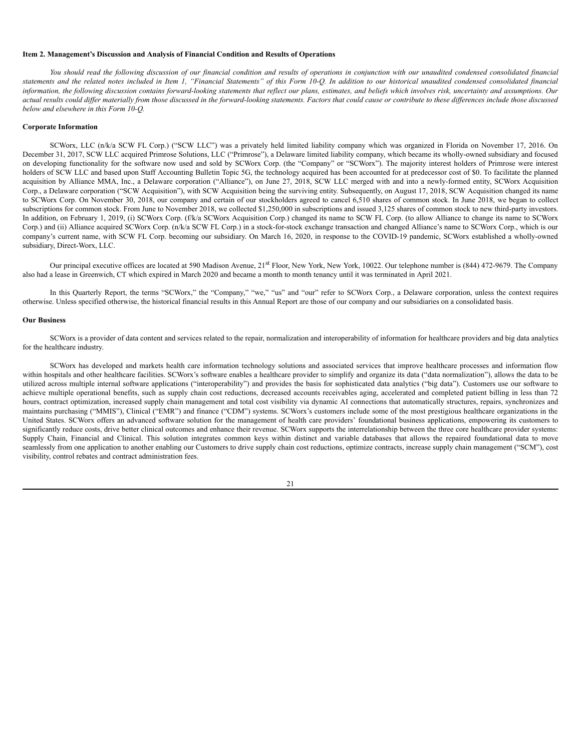#### <span id="page-23-0"></span>**Item 2. Management's Discussion and Analysis of Financial Condition and Results of Operations**

You should read the following discussion of our financial condition and results of operations in conjunction with our unaudited condensed consolidated financial statements and the related notes included in Item 1, "Financial Statements" of this Form 10-Q. In addition to our historical unaudited condensed consolidated financial information, the following discussion contains forward-looking statements that reflect our plans, estimates, and beliefs which involves risk, uncertainty and assumptions. Our actual results could differ materially from those discussed in the forward-looking statements. Factors that could cause or contribute to these differences include those discussed *below and elsewhere in this Form 10-Q.*

### **Corporate Information**

SCWorx, LLC (n/k/a SCW FL Corp.) ("SCW LLC") was a privately held limited liability company which was organized in Florida on November 17, 2016. On December 31, 2017, SCW LLC acquired Primrose Solutions, LLC ("Primrose"), a Delaware limited liability company, which became its wholly-owned subsidiary and focused on developing functionality for the software now used and sold by SCWorx Corp. (the "Company" or "SCWorx"). The majority interest holders of Primrose were interest holders of SCW LLC and based upon Staff Accounting Bulletin Topic 5G, the technology acquired has been accounted for at predecessor cost of \$0. To facilitate the planned acquisition by Alliance MMA, Inc., a Delaware corporation ("Alliance"), on June 27, 2018, SCW LLC merged with and into a newly-formed entity, SCWorx Acquisition Corp., a Delaware corporation ("SCW Acquisition"), with SCW Acquisition being the surviving entity. Subsequently, on August 17, 2018, SCW Acquisition changed its name to SCWorx Corp. On November 30, 2018, our company and certain of our stockholders agreed to cancel 6,510 shares of common stock. In June 2018, we began to collect subscriptions for common stock. From June to November 2018, we collected \$1,250,000 in subscriptions and issued 3,125 shares of common stock to new third-party investors. In addition, on February 1, 2019, (i) SCWorx Corp. (f/k/a SCWorx Acquisition Corp.) changed its name to SCW FL Corp. (to allow Alliance to change its name to SCWorx Corp.) and (ii) Alliance acquired SCWorx Corp. (n/k/a SCW FL Corp.) in a stock-for-stock exchange transaction and changed Alliance's name to SCWorx Corp., which is our company's current name, with SCW FL Corp. becoming our subsidiary. On March 16, 2020, in response to the COVID-19 pandemic, SCWorx established a wholly-owned subsidiary, Direct-Worx, LLC.

Our principal executive offices are located at 590 Madison Avenue, 21<sup>st</sup> Floor, New York, New York, 10022. Our telephone number is (844) 472-9679. The Company also had a lease in Greenwich, CT which expired in March 2020 and became a month to month tenancy until it was terminated in April 2021.

In this Quarterly Report, the terms "SCWorx," the "Company," "we," "us" and "our" refer to SCWorx Corp., a Delaware corporation, unless the context requires otherwise. Unless specified otherwise, the historical financial results in this Annual Report are those of our company and our subsidiaries on a consolidated basis.

#### **Our Business**

SCWorx is a provider of data content and services related to the repair, normalization and interoperability of information for healthcare providers and big data analytics for the healthcare industry.

SCWorx has developed and markets health care information technology solutions and associated services that improve healthcare processes and information flow within hospitals and other healthcare facilities. SCWorx's software enables a healthcare provider to simplify and organize its data ("data normalization"), allows the data to be utilized across multiple internal software applications ("interoperability") and provides the basis for sophisticated data analytics ("big data"). Customers use our software to achieve multiple operational benefits, such as supply chain cost reductions, decreased accounts receivables aging, accelerated and completed patient billing in less than 72 hours, contract optimization, increased supply chain management and total cost visibility via dynamic AI connections that automatically structures, repairs, synchronizes and maintains purchasing ("MMIS"), Clinical ("EMR") and finance ("CDM") systems. SCWorx's customers include some of the most prestigious healthcare organizations in the United States. SCWorx offers an advanced software solution for the management of health care providers' foundational business applications, empowering its customers to significantly reduce costs, drive better clinical outcomes and enhance their revenue. SCWorx supports the interrelationship between the three core healthcare provider systems: Supply Chain, Financial and Clinical. This solution integrates common keys within distinct and variable databases that allows the repaired foundational data to move seamlessly from one application to another enabling our Customers to drive supply chain cost reductions, optimize contracts, increase supply chain management ("SCM"), cost visibility, control rebates and contract administration fees.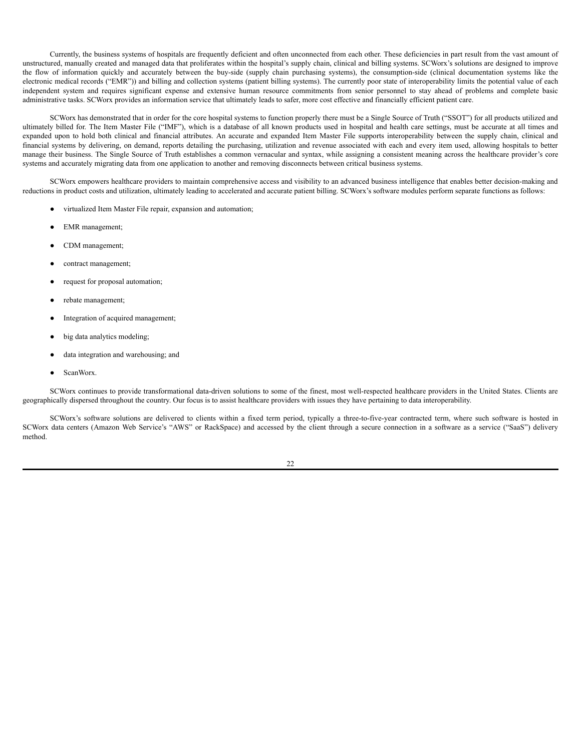Currently, the business systems of hospitals are frequently deficient and often unconnected from each other. These deficiencies in part result from the vast amount of unstructured, manually created and managed data that proliferates within the hospital's supply chain, clinical and billing systems. SCWorx's solutions are designed to improve the flow of information quickly and accurately between the buy-side (supply chain purchasing systems), the consumption-side (clinical documentation systems like the electronic medical records ("EMR")) and billing and collection systems (patient billing systems). The currently poor state of interoperability limits the potential value of each independent system and requires significant expense and extensive human resource commitments from senior personnel to stay ahead of problems and complete basic administrative tasks. SCWorx provides an information service that ultimately leads to safer, more cost effective and financially efficient patient care.

SCWorx has demonstrated that in order for the core hospital systems to function properly there must be a Single Source of Truth ("SSOT") for all products utilized and ultimately billed for. The Item Master File ("IMF"), which is a database of all known products used in hospital and health care settings, must be accurate at all times and expanded upon to hold both clinical and financial attributes. An accurate and expanded Item Master File supports interoperability between the supply chain, clinical and financial systems by delivering, on demand, reports detailing the purchasing, utilization and revenue associated with each and every item used, allowing hospitals to better manage their business. The Single Source of Truth establishes a common vernacular and syntax, while assigning a consistent meaning across the healthcare provider's core systems and accurately migrating data from one application to another and removing disconnects between critical business systems.

SCWorx empowers healthcare providers to maintain comprehensive access and visibility to an advanced business intelligence that enables better decision-making and reductions in product costs and utilization, ultimately leading to accelerated and accurate patient billing. SCWorx's software modules perform separate functions as follows:

- virtualized Item Master File repair, expansion and automation;
- **EMR** management;
- CDM management;
- contract management;
- request for proposal automation;
- rebate management;
- Integration of acquired management;
- big data analytics modeling;
- data integration and warehousing; and
- ScanWorx.

SCWorx continues to provide transformational data-driven solutions to some of the finest, most well-respected healthcare providers in the United States. Clients are geographically dispersed throughout the country. Our focus is to assist healthcare providers with issues they have pertaining to data interoperability.

SCWorx's software solutions are delivered to clients within a fixed term period, typically a three-to-five-year contracted term, where such software is hosted in SCWorx data centers (Amazon Web Service's "AWS" or RackSpace) and accessed by the client through a secure connection in a software as a service ("SaaS") delivery method.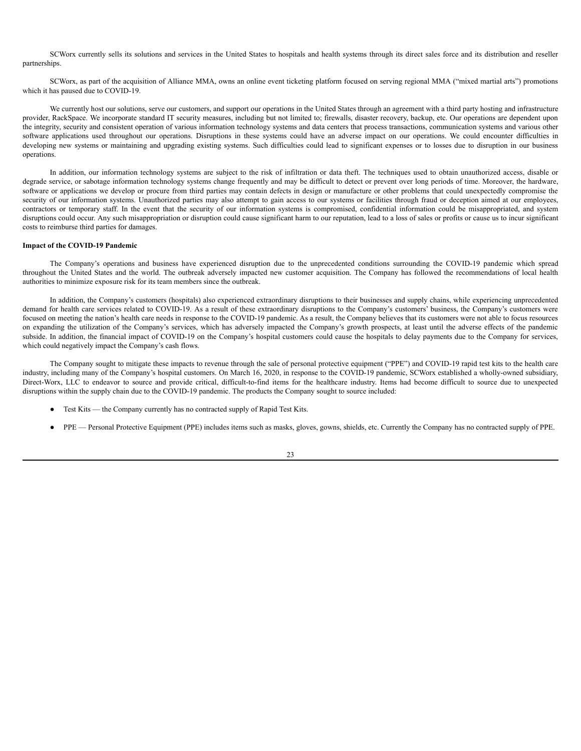SCWorx currently sells its solutions and services in the United States to hospitals and health systems through its direct sales force and its distribution and reseller partnerships.

SCWorx, as part of the acquisition of Alliance MMA, owns an online event ticketing platform focused on serving regional MMA ("mixed martial arts") promotions which it has paused due to COVID-19.

We currently host our solutions, serve our customers, and support our operations in the United States through an agreement with a third party hosting and infrastructure provider, RackSpace. We incorporate standard IT security measures, including but not limited to; firewalls, disaster recovery, backup, etc. Our operations are dependent upon the integrity, security and consistent operation of various information technology systems and data centers that process transactions, communication systems and various other software applications used throughout our operations. Disruptions in these systems could have an adverse impact on our operations. We could encounter difficulties in developing new systems or maintaining and upgrading existing systems. Such difficulties could lead to significant expenses or to losses due to disruption in our business operations.

In addition, our information technology systems are subject to the risk of infiltration or data theft. The techniques used to obtain unauthorized access, disable or degrade service, or sabotage information technology systems change frequently and may be difficult to detect or prevent over long periods of time. Moreover, the hardware, software or applications we develop or procure from third parties may contain defects in design or manufacture or other problems that could unexpectedly compromise the security of our information systems. Unauthorized parties may also attempt to gain access to our systems or facilities through fraud or deception aimed at our employees, contractors or temporary staff. In the event that the security of our information systems is compromised, confidential information could be misappropriated, and system disruptions could occur. Any such misappropriation or disruption could cause significant harm to our reputation, lead to a loss of sales or profits or cause us to incur significant costs to reimburse third parties for damages.

# **Impact of the COVID-19 Pandemic**

The Company's operations and business have experienced disruption due to the unprecedented conditions surrounding the COVID-19 pandemic which spread throughout the United States and the world. The outbreak adversely impacted new customer acquisition. The Company has followed the recommendations of local health authorities to minimize exposure risk for its team members since the outbreak.

In addition, the Company's customers (hospitals) also experienced extraordinary disruptions to their businesses and supply chains, while experiencing unprecedented demand for health care services related to COVID-19. As a result of these extraordinary disruptions to the Company's customers' business, the Company's customers were focused on meeting the nation's health care needs in response to the COVID-19 pandemic. As a result, the Company believes that its customers were not able to focus resources on expanding the utilization of the Company's services, which has adversely impacted the Company's growth prospects, at least until the adverse effects of the pandemic subside. In addition, the financial impact of COVID-19 on the Company's hospital customers could cause the hospitals to delay payments due to the Company for services, which could negatively impact the Company's cash flows.

The Company sought to mitigate these impacts to revenue through the sale of personal protective equipment ("PPE") and COVID-19 rapid test kits to the health care industry, including many of the Company's hospital customers. On March 16, 2020, in response to the COVID-19 pandemic, SCWorx established a wholly-owned subsidiary, Direct-Worx, LLC to endeavor to source and provide critical, difficult-to-find items for the healthcare industry. Items had become difficult to source due to unexpected disruptions within the supply chain due to the COVID-19 pandemic. The products the Company sought to source included:

- Test Kits the Company currently has no contracted supply of Rapid Test Kits.
- PPE Personal Protective Equipment (PPE) includes items such as masks, gloves, gowns, shields, etc. Currently the Company has no contracted supply of PPE.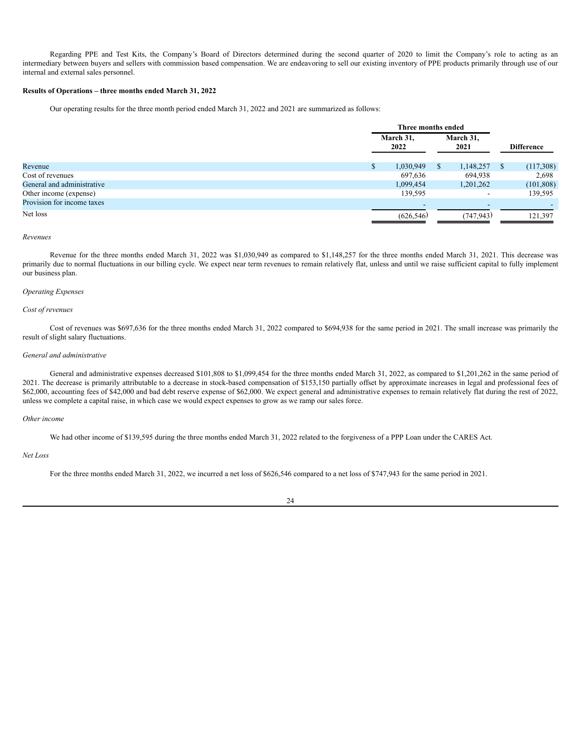Regarding PPE and Test Kits, the Company's Board of Directors determined during the second quarter of 2020 to limit the Company's role to acting as an intermediary between buyers and sellers with commission based compensation. We are endeavoring to sell our existing inventory of PPE products primarily through use of our internal and external sales personnel.

# **Results of Operations – three months ended March 31, 2022**

Our operating results for the three month period ended March 31, 2022 and 2021 are summarized as follows:

|                            | Three months ended       |               |                   |                   |  |
|----------------------------|--------------------------|---------------|-------------------|-------------------|--|
|                            | March 31,<br>2022        |               | March 31,<br>2021 | <b>Difference</b> |  |
| Revenue                    | 1,030,949                | <sup>\$</sup> | 1,148,257         | (117,308)         |  |
| Cost of revenues           | 697,636                  |               | 694,938           | 2,698             |  |
| General and administrative | 1,099,454                |               | 1,201,262         | (101, 808)        |  |
| Other income (expense)     | 139,595                  |               |                   | 139,595           |  |
| Provision for income taxes | $\overline{\phantom{a}}$ |               |                   |                   |  |
| Net loss                   | (626, 546)               |               | (747, 943)        | 121,397           |  |

#### *Revenues*

Revenue for the three months ended March 31, 2022 was \$1,030,949 as compared to \$1,148,257 for the three months ended March 31, 2021. This decrease was primarily due to normal fluctuations in our billing cycle. We expect near term revenues to remain relatively flat, unless and until we raise sufficient capital to fully implement our business plan.

# *Operating Expenses*

### *Cost of revenues*

Cost of revenues was \$697,636 for the three months ended March 31, 2022 compared to \$694,938 for the same period in 2021. The small increase was primarily the result of slight salary fluctuations.

## *General and administrative*

General and administrative expenses decreased \$101,808 to \$1,099,454 for the three months ended March 31, 2022, as compared to \$1,201,262 in the same period of 2021. The decrease is primarily attributable to a decrease in stock-based compensation of \$153,150 partially offset by approximate increases in legal and professional fees of \$62,000, accounting fees of \$42,000 and bad debt reserve expense of \$62,000. We expect general and administrative expenses to remain relatively flat during the rest of 2022, unless we complete a capital raise, in which case we would expect expenses to grow as we ramp our sales force.

### *Other income*

We had other income of \$139,595 during the three months ended March 31, 2022 related to the forgiveness of a PPP Loan under the CARES Act.

#### *Net Loss*

For the three months ended March 31, 2022, we incurred a net loss of \$626,546 compared to a net loss of \$747,943 for the same period in 2021.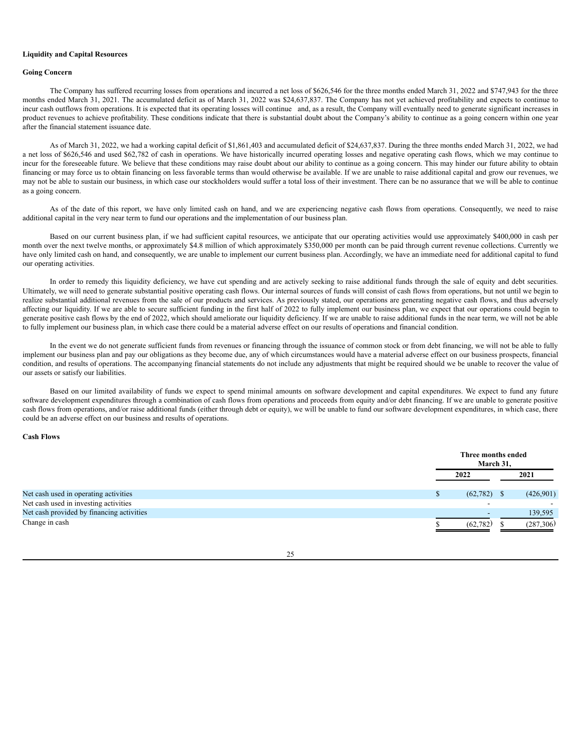### **Liquidity and Capital Resources**

### **Going Concern**

The Company has suffered recurring losses from operations and incurred a net loss of \$626,546 for the three months ended March 31, 2022 and \$747,943 for the three months ended March 31, 2021. The accumulated deficit as of March 31, 2022 was \$24,637,837. The Company has not yet achieved profitability and expects to continue to incur cash outflows from operations. It is expected that its operating losses will continue and, as a result, the Company will eventually need to generate significant increases in product revenues to achieve profitability. These conditions indicate that there is substantial doubt about the Company's ability to continue as a going concern within one year after the financial statement issuance date.

As of March 31, 2022, we had a working capital deficit of \$1,861,403 and accumulated deficit of \$24,637,837. During the three months ended March 31, 2022, we had a net loss of \$626,546 and used \$62,782 of cash in operations. We have historically incurred operating losses and negative operating cash flows, which we may continue to incur for the foreseeable future. We believe that these conditions may raise doubt about our ability to continue as a going concern. This may hinder our future ability to obtain financing or may force us to obtain financing on less favorable terms than would otherwise be available. If we are unable to raise additional capital and grow our revenues, we may not be able to sustain our business, in which case our stockholders would suffer a total loss of their investment. There can be no assurance that we will be able to continue as a going concern.

As of the date of this report, we have only limited cash on hand, and we are experiencing negative cash flows from operations. Consequently, we need to raise additional capital in the very near term to fund our operations and the implementation of our business plan.

Based on our current business plan, if we had sufficient capital resources, we anticipate that our operating activities would use approximately \$400,000 in cash per month over the next twelve months, or approximately \$4.8 million of which approximately \$350,000 per month can be paid through current revenue collections. Currently we have only limited cash on hand, and consequently, we are unable to implement our current business plan. Accordingly, we have an immediate need for additional capital to fund our operating activities.

In order to remedy this liquidity deficiency, we have cut spending and are actively seeking to raise additional funds through the sale of equity and debt securities. Ultimately, we will need to generate substantial positive operating cash flows. Our internal sources of funds will consist of cash flows from operations, but not until we begin to realize substantial additional revenues from the sale of our products and services. As previously stated, our operations are generating negative cash flows, and thus adversely affecting our liquidity. If we are able to secure sufficient funding in the first half of 2022 to fully implement our business plan, we expect that our operations could begin to generate positive cash flows by the end of 2022, which should ameliorate our liquidity deficiency. If we are unable to raise additional funds in the near term, we will not be able to fully implement our business plan, in which case there could be a material adverse effect on our results of operations and financial condition.

In the event we do not generate sufficient funds from revenues or financing through the issuance of common stock or from debt financing, we will not be able to fully implement our business plan and pay our obligations as they become due, any of which circumstances would have a material adverse effect on our business prospects, financial condition, and results of operations. The accompanying financial statements do not include any adjustments that might be required should we be unable to recover the value of our assets or satisfy our liabilities.

Based on our limited availability of funds we expect to spend minimal amounts on software development and capital expenditures. We expect to fund any future software development expenditures through a combination of cash flows from operations and proceeds from equity and/or debt financing. If we are unable to generate positive cash flows from operations, and/or raise additional funds (either through debt or equity), we will be unable to fund our software development expenditures, in which case, there could be an adverse effect on our business and results of operations.

# **Cash Flows**

|                                           | Three months ended<br>March 31. |           |
|-------------------------------------------|---------------------------------|-----------|
|                                           | 2022                            | 2021      |
| Net cash used in operating activities     | (62, 782)                       | (426,901) |
| Net cash used in investing activities     |                                 |           |
| Net cash provided by financing activities |                                 | 139,595   |
| Change in cash                            | (62, 782)                       | (287,306) |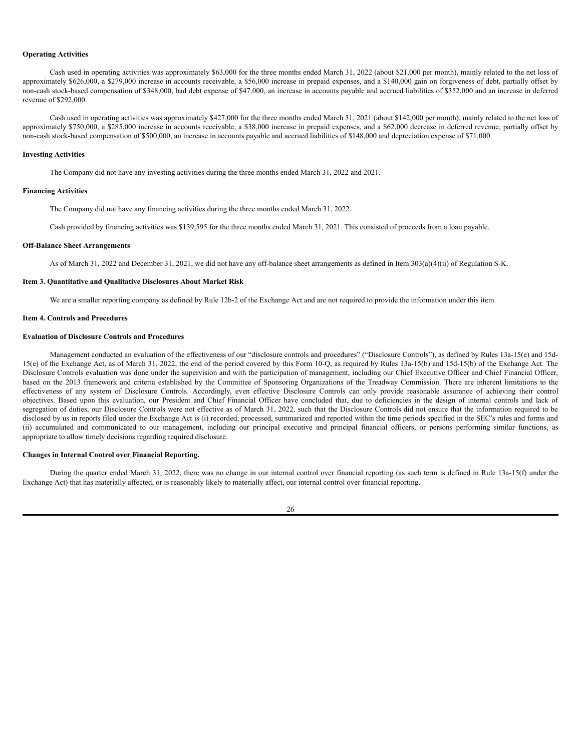#### **Operating Activities**

Cash used in operating activities was approximately \$63,000 for the three months ended March 31, 2022 (about \$21,000 per month), mainly related to the net loss of approximately \$626,000, a \$279,000 increase in accounts receivable, a \$56,000 increase in prepaid expenses, and a \$140,000 gain on forgiveness of debt, partially offset by non-cash stock-based compensation of \$348,000, bad debt expense of \$47,000, an increase in accounts payable and accrued liabilities of \$352,000 and an increase in deferred revenue of \$292,000.

Cash used in operating activities was approximately \$427,000 for the three months ended March 31, 2021 (about \$142,000 per month), mainly related to the net loss of approximately \$750,000, a \$285,000 increase in accounts receivable, a \$38,000 increase in prepaid expenses, and a \$62,000 decrease in deferred revenue, partially offset by non-cash stock-based compensation of \$500,000, an increase in accounts payable and accrued liabilities of \$148,000 and depreciation expense of \$71,000.

### **Investing Activities**

The Company did not have any investing activities during the three months ended March 31, 2022 and 2021.

## **Financing Activities**

The Company did not have any financing activities during the three months ended March 31, 2022.

Cash provided by financing activities was \$139,595 for the three months ended March 31, 2021. This consisted of proceeds from a loan payable.

## **Off-Balance Sheet Arrangements**

As of March 31, 2022 and December 31, 2021, we did not have any off-balance sheet arrangements as defined in Item 303(a)(4)(ii) of Regulation S-K.

## <span id="page-28-0"></span>**Item 3. Quantitative and Qualitative Disclosures About Market Risk**

We are a smaller reporting company as defined by Rule 12b-2 of the Exchange Act and are not required to provide the information under this item.

### <span id="page-28-1"></span>**Item 4. Controls and Procedures**

### **Evaluation of Disclosure Controls and Procedures**

Management conducted an evaluation of the effectiveness of our "disclosure controls and procedures" ("Disclosure Controls"), as defined by Rules 13a-15(e) and 15d-15(e) of the Exchange Act, as of March 31, 2022, the end of the period covered by this Form 10-Q, as required by Rules 13a-15(b) and 15d-15(b) of the Exchange Act. The Disclosure Controls evaluation was done under the supervision and with the participation of management, including our Chief Executive Officer and Chief Financial Officer, based on the 2013 framework and criteria established by the Committee of Sponsoring Organizations of the Treadway Commission. There are inherent limitations to the effectiveness of any system of Disclosure Controls. Accordingly, even effective Disclosure Controls can only provide reasonable assurance of achieving their control objectives. Based upon this evaluation, our President and Chief Financial Officer have concluded that, due to deficiencies in the design of internal controls and lack of segregation of duties, our Disclosure Controls were not effective as of March 31, 2022, such that the Disclosure Controls did not ensure that the information required to be disclosed by us in reports filed under the Exchange Act is (i) recorded, processed, summarized and reported within the time periods specified in the SEC's rules and forms and (ii) accumulated and communicated to our management, including our principal executive and principal financial officers, or persons performing similar functions, as appropriate to allow timely decisions regarding required disclosure.

## **Changes in Internal Control over Financial Reporting.**

During the quarter ended March 31, 2022, there was no change in our internal control over financial reporting (as such term is defined in Rule 13a-15(f) under the Exchange Act) that has materially affected, or is reasonably likely to materially affect, our internal control over financial reporting.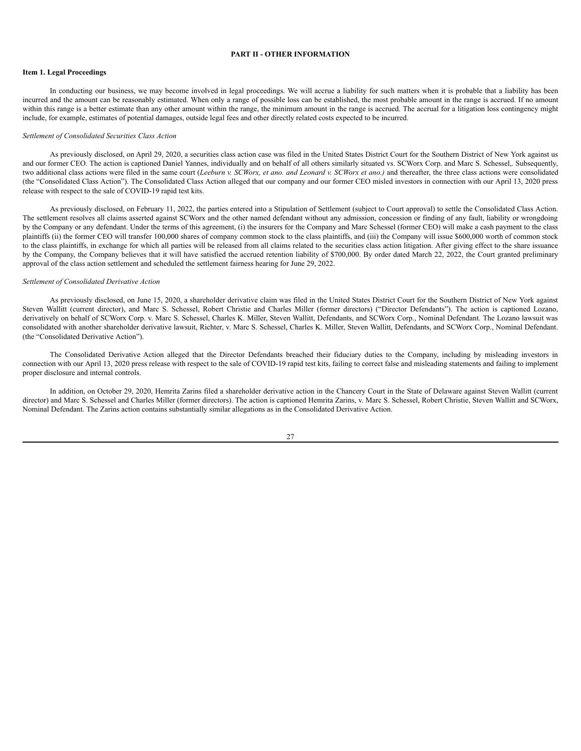## **PART II - OTHER INFORMATION**

### <span id="page-29-1"></span><span id="page-29-0"></span>**Item 1. Legal Proceedings**

In conducting our business, we may become involved in legal proceedings. We will accrue a liability for such matters when it is probable that a liability has been incurred and the amount can be reasonably estimated. When only a range of possible loss can be established, the most probable amount in the range is accrued. If no amount within this range is a better estimate than any other amount within the range, the minimum amount in the range is accrued. The accrual for a litigation loss contingency might include, for example, estimates of potential damages, outside legal fees and other directly related costs expected to be incurred.

### *Settlement of Consolidated Securities Class Action*

As previously disclosed, on April 29, 2020, a securities class action case was filed in the United States District Court for the Southern District of New York against us and our former CEO. The action is captioned Daniel Yannes, individually and on behalf of all others similarly situated vs. SCWorx Corp. and Marc S. Schessel,. Subsequently, two additional class actions were filed in the same court (Leeburn v. SCWorx, et ano. and Leonard v. SCWorx et ano.) and thereafter, the three class actions were consolidated (the "Consolidated Class Action"). The Consolidated Class Action alleged that our company and our former CEO misled investors in connection with our April 13, 2020 press release with respect to the sale of COVID-19 rapid test kits.

As previously disclosed, on February 11, 2022, the parties entered into a Stipulation of Settlement (subject to Court approval) to settle the Consolidated Class Action. The settlement resolves all claims asserted against SCWorx and the other named defendant without any admission, concession or finding of any fault, liability or wrongdoing by the Company or any defendant. Under the terms of this agreement, (i) the insurers for the Company and Marc Schessel (former CEO) will make a cash payment to the class plaintiffs (ii) the former CEO will transfer 100,000 shares of company common stock to the class plaintiffs, and (iii) the Company will issue \$600,000 worth of common stock to the class plaintiffs, in exchange for which all parties will be released from all claims related to the securities class action litigation. After giving effect to the share issuance by the Company, the Company believes that it will have satisfied the accrued retention liability of \$700,000. By order dated March 22, 2022, the Court granted preliminary approval of the class action settlement and scheduled the settlement fairness hearing for June 29, 2022.

### *Settlement of Consolidated Derivative Action*

As previously disclosed, on June 15, 2020, a shareholder derivative claim was filed in the United States District Court for the Southern District of New York against Steven Wallitt (current director), and Marc S. Schessel, Robert Christie and Charles Miller (former directors) ("Director Defendants"). The action is captioned Lozano, derivatively on behalf of SCWorx Corp. v. Marc S. Schessel, Charles K. Miller, Steven Wallitt, Defendants, and SCWorx Corp., Nominal Defendant. The Lozano lawsuit was consolidated with another shareholder derivative lawsuit, Richter, v. Marc S. Schessel, Charles K. Miller, Steven Wallitt, Defendants, and SCWorx Corp., Nominal Defendant. (the "Consolidated Derivative Action").

The Consolidated Derivative Action alleged that the Director Defendants breached their fiduciary duties to the Company, including by misleading investors in connection with our April 13, 2020 press release with respect to the sale of COVID-19 rapid test kits, failing to correct false and misleading statements and failing to implement proper disclosure and internal controls.

In addition, on October 29, 2020, Hemrita Zarins filed a shareholder derivative action in the Chancery Court in the State of Delaware against Steven Wallitt (current director) and Marc S. Schessel and Charles Miller (former directors). The action is captioned Hemrita Zarins, v. Marc S. Schessel, Robert Christie, Steven Wallitt and SCWorx, Nominal Defendant. The Zarins action contains substantially similar allegations as in the Consolidated Derivative Action.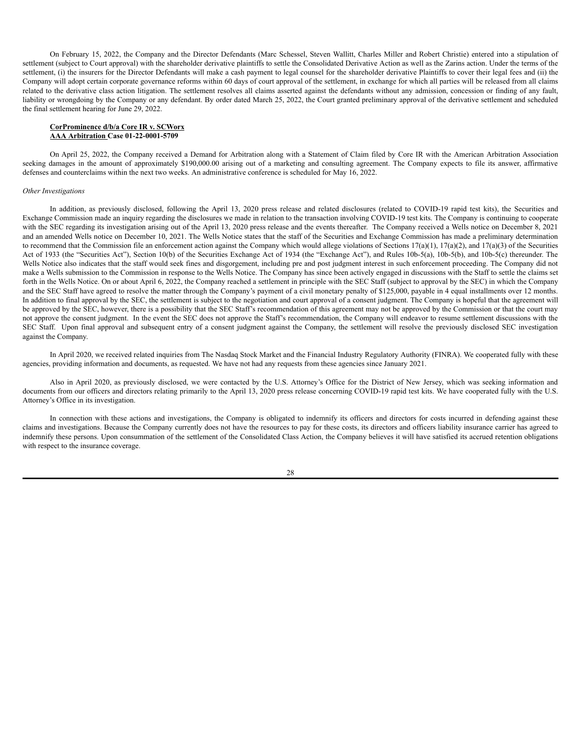On February 15, 2022, the Company and the Director Defendants (Marc Schessel, Steven Wallitt, Charles Miller and Robert Christie) entered into a stipulation of settlement (subject to Court approval) with the shareholder derivative plaintiffs to settle the Consolidated Derivative Action as well as the Zarins action. Under the terms of the settlement, (i) the insurers for the Director Defendants will make a cash payment to legal counsel for the shareholder derivative Plaintiffs to cover their legal fees and (ii) the Company will adopt certain corporate governance reforms within 60 days of court approval of the settlement, in exchange for which all parties will be released from all claims related to the derivative class action litigation. The settlement resolves all claims asserted against the defendants without any admission, concession or finding of any fault, liability or wrongdoing by the Company or any defendant. By order dated March 25, 2022, the Court granted preliminary approval of the derivative settlement and scheduled the final settlement hearing for June 29, 2022.

### **CorProminence d/b/a Core IR v. SCWorx AAA Arbitration Case 01-22-0001-5709**

On April 25, 2022, the Company received a Demand for Arbitration along with a Statement of Claim filed by Core IR with the American Arbitration Association seeking damages in the amount of approximately \$190,000.00 arising out of a marketing and consulting agreement. The Company expects to file its answer, affirmative defenses and counterclaims within the next two weeks. An administrative conference is scheduled for May 16, 2022.

# *Other Investigations*

In addition, as previously disclosed, following the April 13, 2020 press release and related disclosures (related to COVID-19 rapid test kits), the Securities and Exchange Commission made an inquiry regarding the disclosures we made in relation to the transaction involving COVID-19 test kits. The Company is continuing to cooperate with the SEC regarding its investigation arising out of the April 13, 2020 press release and the events thereafter. The Company received a Wells notice on December 8, 2021 and an amended Wells notice on December 10, 2021. The Wells Notice states that the staff of the Securities and Exchange Commission has made a preliminary determination to recommend that the Commission file an enforcement action against the Company which would allege violations of Sections 17(a)(1), 17(a)(2), and 17(a)(3) of the Securities Act of 1933 (the "Securities Act"), Section 10(b) of the Securities Exchange Act of 1934 (the "Exchange Act"), and Rules 10b-5(a), 10b-5(b), and 10b-5(c) thereunder. The Wells Notice also indicates that the staff would seek fines and disgorgement, including pre and post judgment interest in such enforcement proceeding. The Company did not make a Wells submission to the Commission in response to the Wells Notice. The Company has since been actively engaged in discussions with the Staff to settle the claims set forth in the Wells Notice. On or about April 6, 2022, the Company reached a settlement in principle with the SEC Staff (subject to approval by the SEC) in which the Company and the SEC Staff have agreed to resolve the matter through the Company's payment of a civil monetary penalty of \$125,000, payable in 4 equal installments over 12 months. In addition to final approval by the SEC, the settlement is subject to the negotiation and court approval of a consent judgment. The Company is hopeful that the agreement will be approved by the SEC, however, there is a possibility that the SEC Staff's recommendation of this agreement may not be approved by the Commission or that the court may not approve the consent judgment. In the event the SEC does not approve the Staff's recommendation, the Company will endeavor to resume settlement discussions with the SEC Staff. Upon final approval and subsequent entry of a consent judgment against the Company, the settlement will resolve the previously disclosed SEC investigation against the Company.

In April 2020, we received related inquiries from The Nasdaq Stock Market and the Financial Industry Regulatory Authority (FINRA). We cooperated fully with these agencies, providing information and documents, as requested. We have not had any requests from these agencies since January 2021.

Also in April 2020, as previously disclosed, we were contacted by the U.S. Attorney's Office for the District of New Jersey, which was seeking information and documents from our officers and directors relating primarily to the April 13, 2020 press release concerning COVID-19 rapid test kits. We have cooperated fully with the U.S. Attorney's Office in its investigation.

In connection with these actions and investigations, the Company is obligated to indemnify its officers and directors for costs incurred in defending against these claims and investigations. Because the Company currently does not have the resources to pay for these costs, its directors and officers liability insurance carrier has agreed to indemnify these persons. Upon consummation of the settlement of the Consolidated Class Action, the Company believes it will have satisfied its accrued retention obligations with respect to the insurance coverage.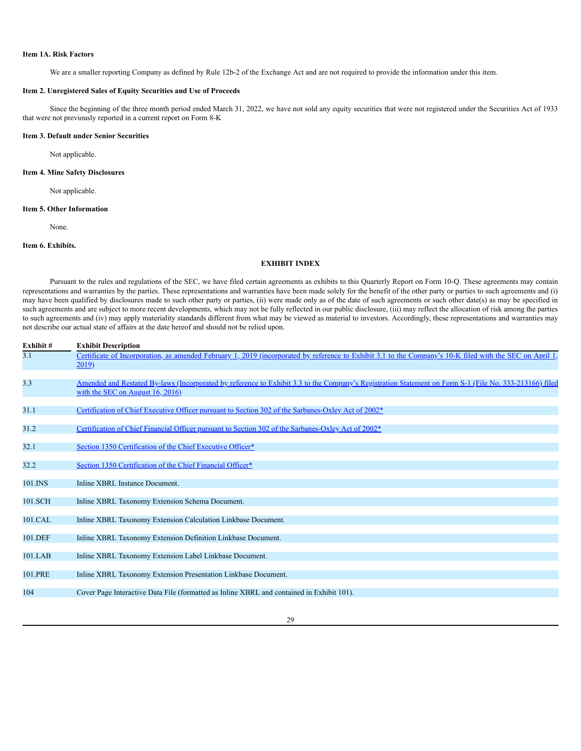### <span id="page-31-0"></span>**Item 1A. Risk Factors**

We are a smaller reporting Company as defined by Rule 12b-2 of the Exchange Act and are not required to provide the information under this item.

# <span id="page-31-1"></span>**Item 2. Unregistered Sales of Equity Securities and Use of Proceeds**

Since the beginning of the three month period ended March 31, 2022, we have not sold any equity securities that were not registered under the Securities Act of 1933 that were not previously reported in a current report on Form 8-K

# <span id="page-31-2"></span>**Item 3. Default under Senior Securities**

Not applicable.

### <span id="page-31-3"></span>**Item 4. Mine Safety Disclosures**

Not applicable.

## <span id="page-31-4"></span>**Item 5. Other Information**

None.

# <span id="page-31-6"></span><span id="page-31-5"></span>**Item 6. Exhibits.**

### **EXHIBIT INDEX**

Pursuant to the rules and regulations of the SEC, we have filed certain agreements as exhibits to this Quarterly Report on Form 10-Q. These agreements may contain representations and warranties by the parties. These representations and warranties have been made solely for the benefit of the other party or parties to such agreements and (i) may have been qualified by disclosures made to such other party or parties, (ii) were made only as of the date of such agreements or such other date(s) as may be specified in such agreements and are subject to more recent developments, which may not be fully reflected in our public disclosure, (iii) may reflect the allocation of risk among the parties to such agreements and (iv) may apply materiality standards different from what may be viewed as material to investors. Accordingly, these representations and warranties may not describe our actual state of affairs at the date hereof and should not be relied upon.

| Exhibit #  | <b>Exhibit Description</b>                                                                                                                                                                         |
|------------|----------------------------------------------------------------------------------------------------------------------------------------------------------------------------------------------------|
| 3.1        | Certificate of Incorporation, as amended February 1, 2019 (incorporated by reference to Exhibit 3.1 to the Company's 10-K filed with the SEC on April 1,<br>2019)                                  |
| 3.3        | <u>Amended and Restated By-laws (Incorporated by reference to Exhibit 3.3 to the Company's Registration Statement on Form S-1 (File No. 333-213166) filed</u><br>with the SEC on August $16, 2016$ |
| 31.1       | Certification of Chief Executive Officer pursuant to Section 302 of the Sarbanes-Oxley Act of 2002*                                                                                                |
| 31.2       | Certification of Chief Financial Officer pursuant to Section 302 of the Sarbanes-Oxley Act of 2002*                                                                                                |
| 32.1       | Section 1350 Certification of the Chief Executive Officer*                                                                                                                                         |
| 32.2       | Section 1350 Certification of the Chief Financial Officer*                                                                                                                                         |
| 101.INS    | Inline XBRL Instance Document.                                                                                                                                                                     |
| 101.SCH    | Inline XBRL Taxonomy Extension Schema Document.                                                                                                                                                    |
| $101$ .CAL | Inline XBRL Taxonomy Extension Calculation Linkbase Document.                                                                                                                                      |
| 101.DEF    | Inline XBRL Taxonomy Extension Definition Linkbase Document.                                                                                                                                       |
| $101$ .LAB | Inline XBRL Taxonomy Extension Label Linkbase Document.                                                                                                                                            |
| 101.PRE    | Inline XBRL Taxonomy Extension Presentation Linkbase Document.                                                                                                                                     |
| 104        | Cover Page Interactive Data File (formatted as Inline XBRL and contained in Exhibit 101).                                                                                                          |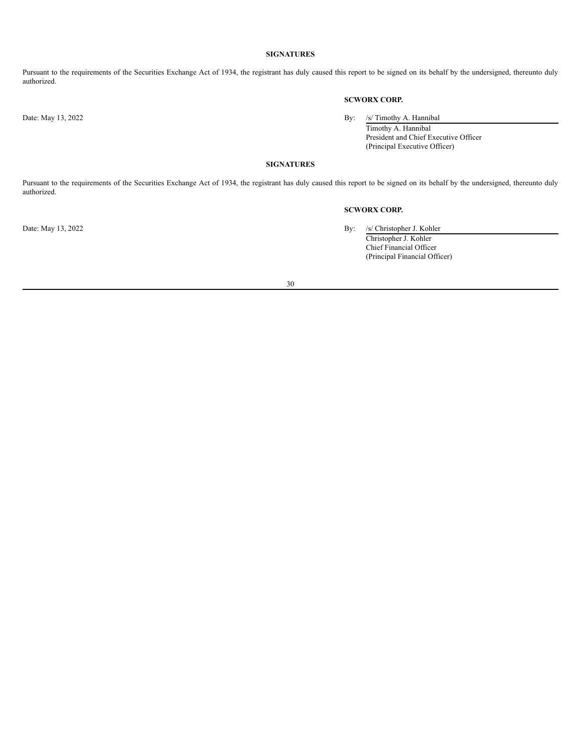# **SIGNATURES**

<span id="page-32-0"></span>Pursuant to the requirements of the Securities Exchange Act of 1934, the registrant has duly caused this report to be signed on its behalf by the undersigned, thereunto duly authorized.

# **SCWORX CORP.**

Date: May 13, 2022 By: /s/ Timothy A. Hannibal

Timothy A. Hannibal President and Chief Executive Officer (Principal Executive Officer)

# **SIGNATURES**

Pursuant to the requirements of the Securities Exchange Act of 1934, the registrant has duly caused this report to be signed on its behalf by the undersigned, thereunto duly authorized.

# **SCWORX CORP.**

Date: May 13, 2022 By: /s/ Christopher J. Kohler

Christopher J. Kohler Chief Financial Officer (Principal Financial Officer)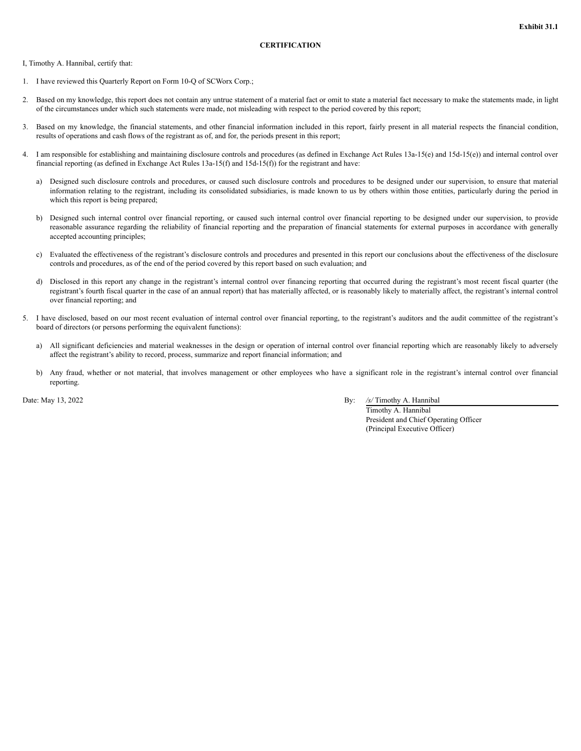### **CERTIFICATION**

I, Timothy A. Hannibal, certify that:

- 1. I have reviewed this Quarterly Report on Form 10-Q of SCWorx Corp.;
- 2. Based on my knowledge, this report does not contain any untrue statement of a material fact or omit to state a material fact necessary to make the statements made, in light of the circumstances under which such statements were made, not misleading with respect to the period covered by this report;
- 3. Based on my knowledge, the financial statements, and other financial information included in this report, fairly present in all material respects the financial condition, results of operations and cash flows of the registrant as of, and for, the periods present in this report;
- 4. I am responsible for establishing and maintaining disclosure controls and procedures (as defined in Exchange Act Rules 13a-15(e) and 15d-15(e)) and internal control over financial reporting (as defined in Exchange Act Rules 13a-15(f) and 15d-15(f)) for the registrant and have:
	- a) Designed such disclosure controls and procedures, or caused such disclosure controls and procedures to be designed under our supervision, to ensure that material information relating to the registrant, including its consolidated subsidiaries, is made known to us by others within those entities, particularly during the period in which this report is being prepared;
	- b) Designed such internal control over financial reporting, or caused such internal control over financial reporting to be designed under our supervision, to provide reasonable assurance regarding the reliability of financial reporting and the preparation of financial statements for external purposes in accordance with generally accepted accounting principles;
	- c) Evaluated the effectiveness of the registrant's disclosure controls and procedures and presented in this report our conclusions about the effectiveness of the disclosure controls and procedures, as of the end of the period covered by this report based on such evaluation; and
	- d) Disclosed in this report any change in the registrant's internal control over financing reporting that occurred during the registrant's most recent fiscal quarter (the registrant's fourth fiscal quarter in the case of an annual report) that has materially affected, or is reasonably likely to materially affect, the registrant's internal control over financial reporting; and
- 5. I have disclosed, based on our most recent evaluation of internal control over financial reporting, to the registrant's auditors and the audit committee of the registrant's board of directors (or persons performing the equivalent functions):
	- a) All significant deficiencies and material weaknesses in the design or operation of internal control over financial reporting which are reasonably likely to adversely affect the registrant's ability to record, process, summarize and report financial information; and
	- b) Any fraud, whether or not material, that involves management or other employees who have a significant role in the registrant's internal control over financial reporting.

Date: May 13, 2022 By: */s/* Timothy A. Hannibal

Timothy A. Hannibal President and Chief Operating Officer (Principal Executive Officer)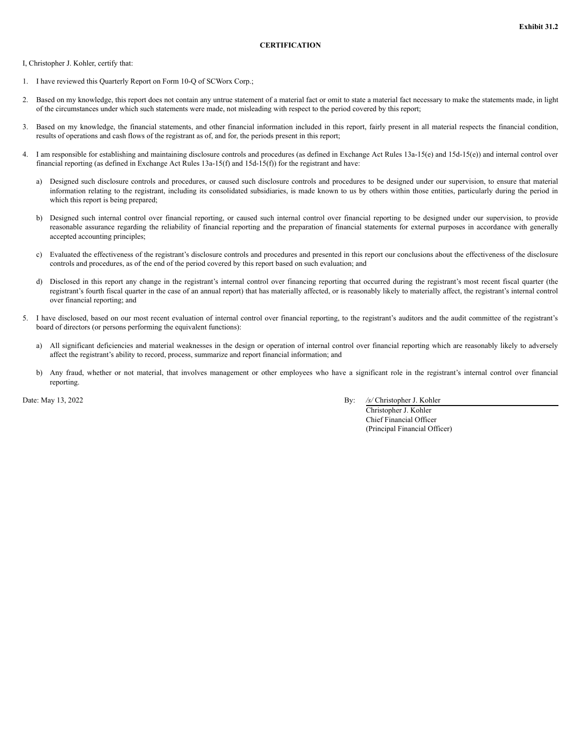### **CERTIFICATION**

I, Christopher J. Kohler, certify that:

- 1. I have reviewed this Quarterly Report on Form 10-Q of SCWorx Corp.;
- 2. Based on my knowledge, this report does not contain any untrue statement of a material fact or omit to state a material fact necessary to make the statements made, in light of the circumstances under which such statements were made, not misleading with respect to the period covered by this report;
- 3. Based on my knowledge, the financial statements, and other financial information included in this report, fairly present in all material respects the financial condition, results of operations and cash flows of the registrant as of, and for, the periods present in this report;
- 4. I am responsible for establishing and maintaining disclosure controls and procedures (as defined in Exchange Act Rules 13a-15(e) and 15d-15(e)) and internal control over financial reporting (as defined in Exchange Act Rules 13a-15(f) and 15d-15(f)) for the registrant and have:
	- a) Designed such disclosure controls and procedures, or caused such disclosure controls and procedures to be designed under our supervision, to ensure that material information relating to the registrant, including its consolidated subsidiaries, is made known to us by others within those entities, particularly during the period in which this report is being prepared;
	- b) Designed such internal control over financial reporting, or caused such internal control over financial reporting to be designed under our supervision, to provide reasonable assurance regarding the reliability of financial reporting and the preparation of financial statements for external purposes in accordance with generally accepted accounting principles;
	- c) Evaluated the effectiveness of the registrant's disclosure controls and procedures and presented in this report our conclusions about the effectiveness of the disclosure controls and procedures, as of the end of the period covered by this report based on such evaluation; and
	- d) Disclosed in this report any change in the registrant's internal control over financing reporting that occurred during the registrant's most recent fiscal quarter (the registrant's fourth fiscal quarter in the case of an annual report) that has materially affected, or is reasonably likely to materially affect, the registrant's internal control over financial reporting; and
- 5. I have disclosed, based on our most recent evaluation of internal control over financial reporting, to the registrant's auditors and the audit committee of the registrant's board of directors (or persons performing the equivalent functions):
	- a) All significant deficiencies and material weaknesses in the design or operation of internal control over financial reporting which are reasonably likely to adversely affect the registrant's ability to record, process, summarize and report financial information; and
	- b) Any fraud, whether or not material, that involves management or other employees who have a significant role in the registrant's internal control over financial reporting.

Date: May 13, 2022 By: /s/ Christopher J. Kohler

Christopher J. Kohler Chief Financial Officer (Principal Financial Officer)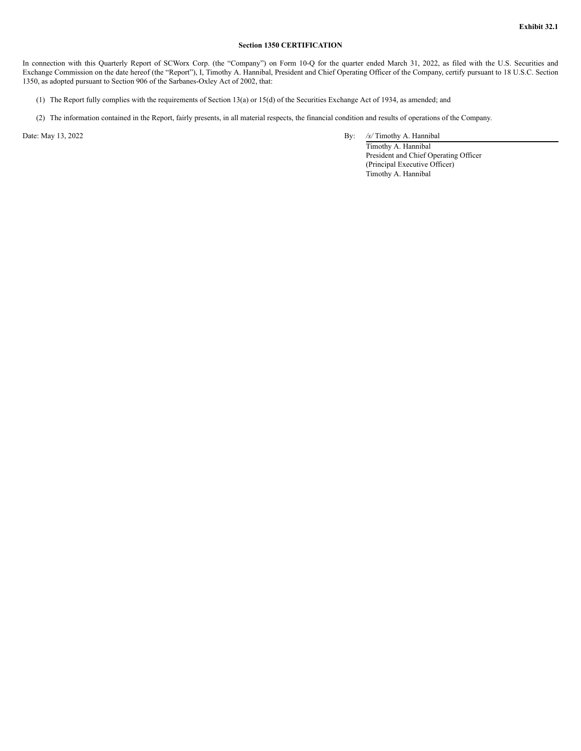# **Section 1350 CERTIFICATION**

In connection with this Quarterly Report of SCWorx Corp. (the "Company") on Form 10-Q for the quarter ended March 31, 2022, as filed with the U.S. Securities and Exchange Commission on the date hereof (the "Report"), I, Timothy A. Hannibal, President and Chief Operating Officer of the Company, certify pursuant to 18 U.S.C. Section 1350, as adopted pursuant to Section 906 of the Sarbanes-Oxley Act of 2002, that:

- (1) The Report fully complies with the requirements of Section 13(a) or 15(d) of the Securities Exchange Act of 1934, as amended; and
- (2) The information contained in the Report, fairly presents, in all material respects, the financial condition and results of operations of the Company.

Date: May 13, 2022 By: */s/* Timothy A. Hannibal

Timothy A. Hannibal President and Chief Operating Officer (Principal Executive Officer) Timothy A. Hannibal